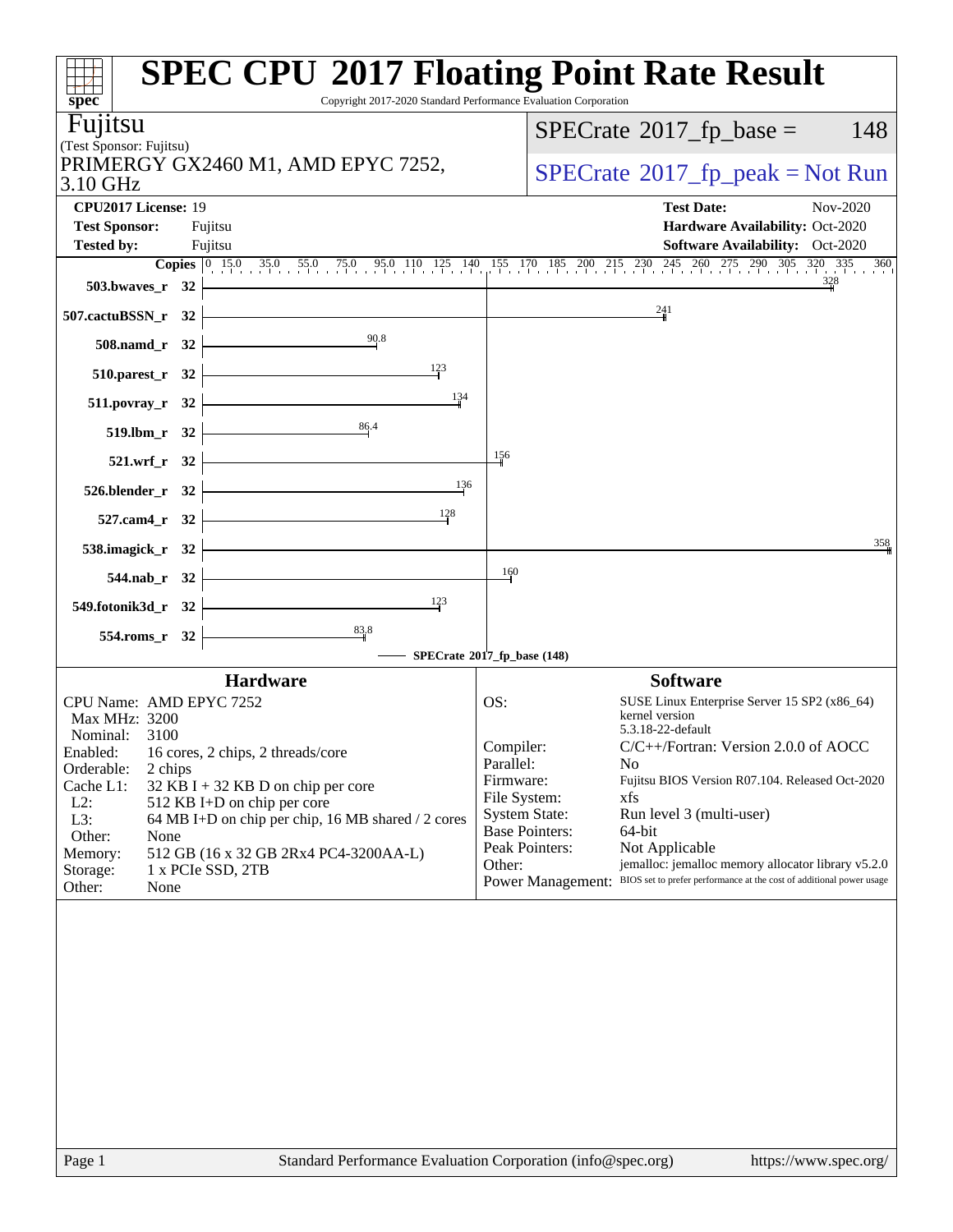| $spec^*$                                                                                                                              | <b>SPEC CPU®2017 Floating Point Rate Result</b><br>Copyright 2017-2020 Standard Performance Evaluation Corporation |
|---------------------------------------------------------------------------------------------------------------------------------------|--------------------------------------------------------------------------------------------------------------------|
| Fujitsu                                                                                                                               | $SPECTate$ <sup>®</sup> 2017_fp_base =<br>148                                                                      |
| (Test Sponsor: Fujitsu)                                                                                                               |                                                                                                                    |
| PRIMERGY GX2460 M1, AMD EPYC 7252,                                                                                                    | $SPECrate^{\circ}2017$ _fp_peak = Not Run                                                                          |
| 3.10 GHz                                                                                                                              |                                                                                                                    |
| CPU2017 License: 19                                                                                                                   | <b>Test Date:</b><br>Nov-2020                                                                                      |
| <b>Test Sponsor:</b><br>Fujitsu<br><b>Tested by:</b><br>Fujitsu                                                                       | Hardware Availability: Oct-2020<br><b>Software Availability:</b> Oct-2020                                          |
|                                                                                                                                       | <b>Copies</b> 0 15.0 35.0 55.0 75.0 95.0 110 125 140 155 170 185 200 215 230 245 260 275 290 305 320 335 36<br>360 |
| 503.bwaves_r $32$                                                                                                                     | $\frac{328}{4}$                                                                                                    |
| 507.cactuBSSN_r 32                                                                                                                    | 241                                                                                                                |
| 90.8<br>$508$ .namd_r 32                                                                                                              |                                                                                                                    |
| $\frac{123}{1}$<br>510.parest_r 32                                                                                                    |                                                                                                                    |
| 134<br>$511. povray_r 32$                                                                                                             |                                                                                                                    |
| 86.4<br>519.lbm_r 32                                                                                                                  |                                                                                                                    |
| <u> 1989 - Johann Barn, mars ann an t-Amhair an t-Amhair an t-Amhair an t-Amhair an t-Amhair an t-Amhair an t-Amh</u><br>521.wrf_r 32 | 156                                                                                                                |
| 136<br>$526.$ blender_r 32                                                                                                            |                                                                                                                    |
| <u> 1989 - Johann Barnett, fransk politik (</u><br>128<br>$527$ .cam4_r 32                                                            | 358                                                                                                                |
| 538.imagick_r $32$<br><u> 1989 - Johann Barbara, martxa a</u>                                                                         | 160                                                                                                                |
| $544.nab_r 32$<br>123                                                                                                                 |                                                                                                                    |
| 549.fotonik3d_r 32 $\vert$<br>$\frac{83.8}{1}$                                                                                        |                                                                                                                    |
| 554.roms_r 32                                                                                                                         | SPECrate®2017_fp_base (148)                                                                                        |
| <b>Hardware</b>                                                                                                                       | <b>Software</b>                                                                                                    |
| CPU Name: AMD EPYC 7252                                                                                                               | OS:<br>SUSE Linux Enterprise Server 15 SP2 (x86_64)                                                                |
| Max MHz: 3200<br>Nominal: 3100                                                                                                        | kernel version<br>5.3.18-22-default                                                                                |
| Enabled: 16 cores, 2 chips, 2 threads/core                                                                                            | Compiler:<br>$C/C++/Fortran$ : Version 2.0.0 of AOCC                                                               |
| Orderable:<br>2 chips                                                                                                                 | Parallel:<br>N <sub>0</sub><br>Fujitsu BIOS Version R07.104. Released Oct-2020<br>Firmware:                        |
| Cache L1:<br>$32$ KB I + 32 KB D on chip per core<br>$L2$ :<br>512 KB I+D on chip per core                                            | File System:<br>xfs                                                                                                |
| L3:<br>64 MB I+D on chip per chip, 16 MB shared / 2 cores                                                                             | <b>System State:</b><br>Run level 3 (multi-user)                                                                   |
| Other:<br>None                                                                                                                        | <b>Base Pointers:</b><br>64-bit                                                                                    |
| 512 GB (16 x 32 GB 2Rx4 PC4-3200AA-L)<br>Memory:                                                                                      | Peak Pointers:<br>Not Applicable<br>jemalloc: jemalloc memory allocator library v5.2.0<br>Other:                   |
| Storage:<br>1 x PCIe SSD, 2TB<br>Other:<br>None                                                                                       | BIOS set to prefer performance at the cost of additional power usage<br><b>Power Management:</b>                   |
|                                                                                                                                       |                                                                                                                    |
| Page 1                                                                                                                                | Standard Performance Evaluation Corporation (info@spec.org)<br>https://www.spec.org/                               |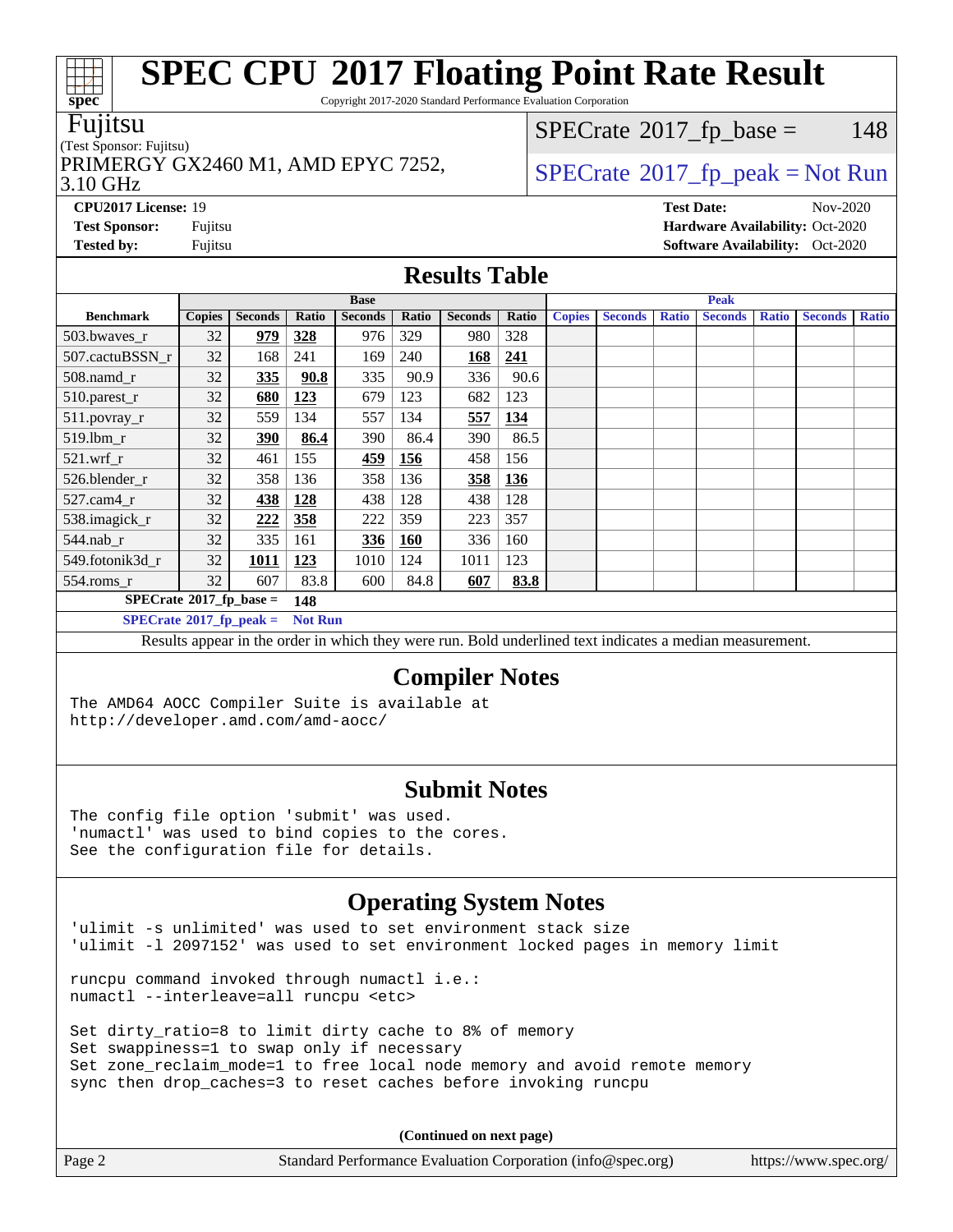Copyright 2017-2020 Standard Performance Evaluation Corporation

#### Fujitsu

#### (Test Sponsor: Fujitsu)

3.10 GHz PRIMERGY GX2460 M1, AMD EPYC 7252,  $\vert$ [SPECrate](http://www.spec.org/auto/cpu2017/Docs/result-fields.html#SPECrate2017fppeak)®[2017\\_fp\\_peak = N](http://www.spec.org/auto/cpu2017/Docs/result-fields.html#SPECrate2017fppeak)ot Run

 $SPECTate@2017<sub>fr</sub> base = 148$ 

**[CPU2017 License:](http://www.spec.org/auto/cpu2017/Docs/result-fields.html#CPU2017License)** 19 **[Test Date:](http://www.spec.org/auto/cpu2017/Docs/result-fields.html#TestDate)** Nov-2020 **[Test Sponsor:](http://www.spec.org/auto/cpu2017/Docs/result-fields.html#TestSponsor)** Fujitsu **[Hardware Availability:](http://www.spec.org/auto/cpu2017/Docs/result-fields.html#HardwareAvailability)** Oct-2020 **[Tested by:](http://www.spec.org/auto/cpu2017/Docs/result-fields.html#Testedby)** Fujitsu **Fugital Exception Contract Contract Contract Contract Contract Contract Contract Contract Contract Contract Contract Contract Contract Contract Contract Contract Contract Contract Contract Contract Co** 

### **[Results Table](http://www.spec.org/auto/cpu2017/Docs/result-fields.html#ResultsTable)**

|                                  | <b>Base</b>   |                |                | <b>Peak</b>    |       |                |            |               |                |              |                |              |                |              |
|----------------------------------|---------------|----------------|----------------|----------------|-------|----------------|------------|---------------|----------------|--------------|----------------|--------------|----------------|--------------|
| <b>Benchmark</b>                 | <b>Copies</b> | <b>Seconds</b> | Ratio          | <b>Seconds</b> | Ratio | <b>Seconds</b> | Ratio      | <b>Copies</b> | <b>Seconds</b> | <b>Ratio</b> | <b>Seconds</b> | <b>Ratio</b> | <b>Seconds</b> | <b>Ratio</b> |
| 503.bwaves_r                     | 32            | 979            | <u>328</u>     | 976            | 329   | 980            | 328        |               |                |              |                |              |                |              |
| 507.cactuBSSN r                  | 32            | 168            | 241            | 169            | 240   | 168            | 241        |               |                |              |                |              |                |              |
| $508$ .namd $r$                  | 32            | 335            | 90.8           | 335            | 90.9  | 336            | 90.6       |               |                |              |                |              |                |              |
| 510.parest_r                     | 32            | <u>680</u>     | <u>123</u>     | 679            | 123   | 682            | 123        |               |                |              |                |              |                |              |
| 511.povray_r                     | 32            | 559            | 134            | 557            | 134   | 557            | 134        |               |                |              |                |              |                |              |
| $519$ .lbm $r$                   | 32            | 390            | 86.4           | 390            | 86.4  | 390            | 86.5       |               |                |              |                |              |                |              |
| $521$ .wrf r                     | 32            | 461            | 155            | 459            | 156   | 458            | 156        |               |                |              |                |              |                |              |
| 526.blender r                    | 32            | 358            | 136            | 358            | 136   | 358            | <b>136</b> |               |                |              |                |              |                |              |
| 527.cam4 r                       | 32            | 438            | 128            | 438            | 128   | 438            | 128        |               |                |              |                |              |                |              |
| 538.imagick_r                    | 32            | 222            | 358            | 222            | 359   | 223            | 357        |               |                |              |                |              |                |              |
| 544.nab r                        | 32            | 335            | 161            | 336            | 160   | 336            | 160        |               |                |              |                |              |                |              |
| 549.fotonik3d r                  | 32            | 1011           | <u>123</u>     | 1010           | 124   | 1011           | 123        |               |                |              |                |              |                |              |
| $554$ .roms_r                    | 32            | 607            | 83.8           | 600            | 84.8  | 607            | 83.8       |               |                |              |                |              |                |              |
| $SPECrate*2017_fp\_base =$       |               | 148            |                |                |       |                |            |               |                |              |                |              |                |              |
| $SPECrate^{\circ}2017$ fp peak = |               |                | <b>Not Run</b> |                |       |                |            |               |                |              |                |              |                |              |

Results appear in the [order in which they were run.](http://www.spec.org/auto/cpu2017/Docs/result-fields.html#RunOrder) Bold underlined text [indicates a median measurement.](http://www.spec.org/auto/cpu2017/Docs/result-fields.html#Median)

### **[Compiler Notes](http://www.spec.org/auto/cpu2017/Docs/result-fields.html#CompilerNotes)**

The AMD64 AOCC Compiler Suite is available at <http://developer.amd.com/amd-aocc/>

### **[Submit Notes](http://www.spec.org/auto/cpu2017/Docs/result-fields.html#SubmitNotes)**

The config file option 'submit' was used. 'numactl' was used to bind copies to the cores. See the configuration file for details.

### **[Operating System Notes](http://www.spec.org/auto/cpu2017/Docs/result-fields.html#OperatingSystemNotes)**

'ulimit -s unlimited' was used to set environment stack size 'ulimit -l 2097152' was used to set environment locked pages in memory limit

runcpu command invoked through numactl i.e.: numactl --interleave=all runcpu <etc>

Set dirty\_ratio=8 to limit dirty cache to 8% of memory Set swappiness=1 to swap only if necessary Set zone\_reclaim\_mode=1 to free local node memory and avoid remote memory sync then drop\_caches=3 to reset caches before invoking runcpu

**(Continued on next page)**

| Page 2 | Standard Performance Evaluation Corporation (info@spec.org) | https://www.spec.org/ |
|--------|-------------------------------------------------------------|-----------------------|
|--------|-------------------------------------------------------------|-----------------------|

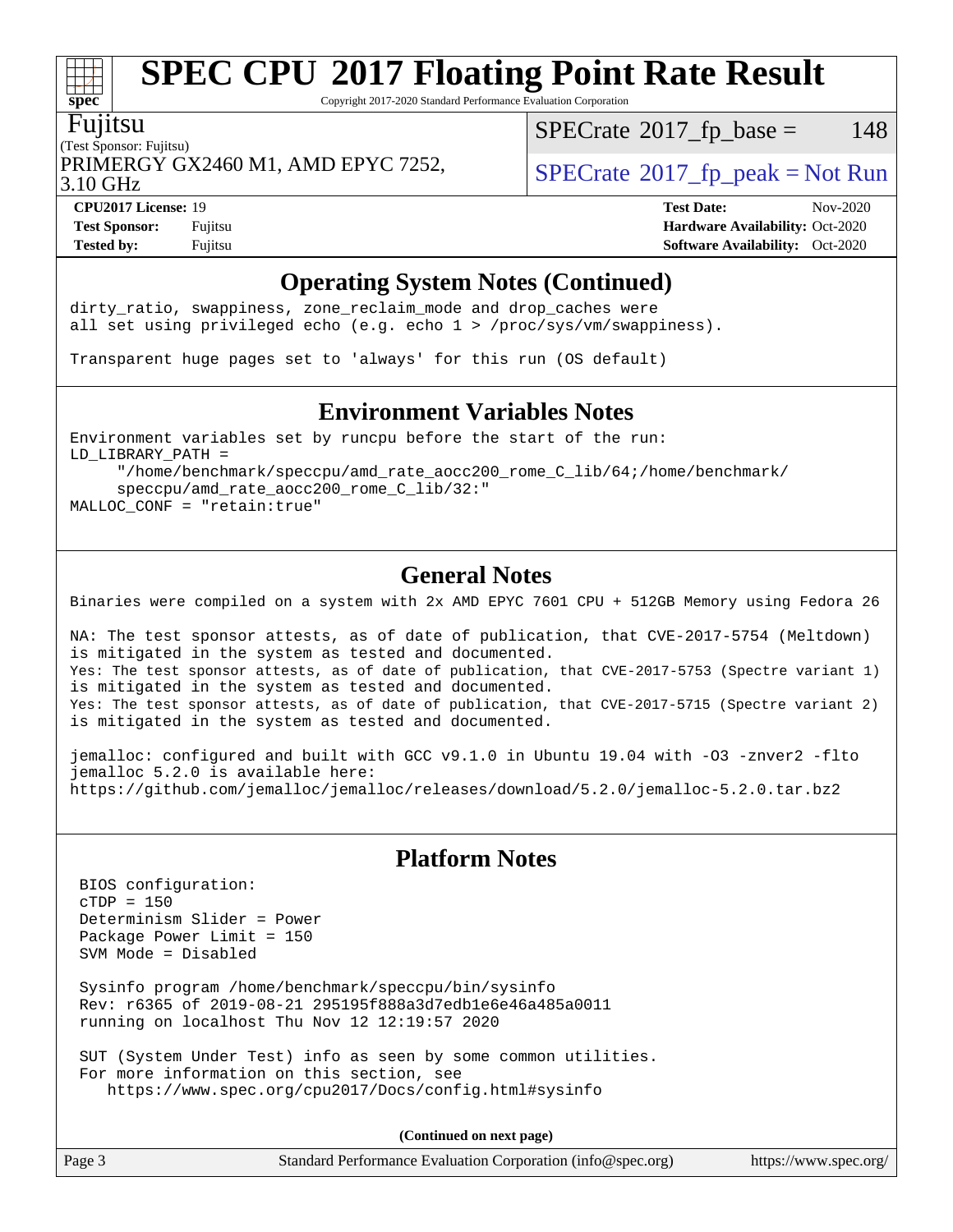Copyright 2017-2020 Standard Performance Evaluation Corporation

#### Fujitsu

**[spec](http://www.spec.org/)**

(Test Sponsor: Fujitsu) PRIMERGY GX2460 M1, AMD EPYC 7252,  $\vert$  [SPECrate](http://www.spec.org/auto/cpu2017/Docs/result-fields.html#SPECrate2017fppeak) 2017 fp peak = Not Run

 $SPECTate@2017<sub>fr</sub> base = 148$ 

3.10 GHz

**[Test Sponsor:](http://www.spec.org/auto/cpu2017/Docs/result-fields.html#TestSponsor)** Fujitsu **[Hardware Availability:](http://www.spec.org/auto/cpu2017/Docs/result-fields.html#HardwareAvailability)** Oct-2020 **[Tested by:](http://www.spec.org/auto/cpu2017/Docs/result-fields.html#Testedby)** Fujitsu **[Software Availability:](http://www.spec.org/auto/cpu2017/Docs/result-fields.html#SoftwareAvailability)** Oct-2020

**[CPU2017 License:](http://www.spec.org/auto/cpu2017/Docs/result-fields.html#CPU2017License)** 19 **[Test Date:](http://www.spec.org/auto/cpu2017/Docs/result-fields.html#TestDate)** Nov-2020

# **[Operating System Notes \(Continued\)](http://www.spec.org/auto/cpu2017/Docs/result-fields.html#OperatingSystemNotes)**

dirty\_ratio, swappiness, zone\_reclaim\_mode and drop caches were all set using privileged echo (e.g. echo 1 > /proc/sys/vm/swappiness).

Transparent huge pages set to 'always' for this run (OS default)

### **[Environment Variables Notes](http://www.spec.org/auto/cpu2017/Docs/result-fields.html#EnvironmentVariablesNotes)**

Environment variables set by runcpu before the start of the run: LD\_LIBRARY\_PATH = "/home/benchmark/speccpu/amd\_rate\_aocc200\_rome\_C\_lib/64;/home/benchmark/

 speccpu/amd\_rate\_aocc200\_rome\_C\_lib/32:" MALLOC\_CONF = "retain:true"

### **[General Notes](http://www.spec.org/auto/cpu2017/Docs/result-fields.html#GeneralNotes)**

Binaries were compiled on a system with 2x AMD EPYC 7601 CPU + 512GB Memory using Fedora 26

NA: The test sponsor attests, as of date of publication, that CVE-2017-5754 (Meltdown) is mitigated in the system as tested and documented. Yes: The test sponsor attests, as of date of publication, that CVE-2017-5753 (Spectre variant 1) is mitigated in the system as tested and documented. Yes: The test sponsor attests, as of date of publication, that CVE-2017-5715 (Spectre variant 2) is mitigated in the system as tested and documented.

jemalloc: configured and built with GCC v9.1.0 in Ubuntu 19.04 with -O3 -znver2 -flto jemalloc 5.2.0 is available here: <https://github.com/jemalloc/jemalloc/releases/download/5.2.0/jemalloc-5.2.0.tar.bz2>

### **[Platform Notes](http://www.spec.org/auto/cpu2017/Docs/result-fields.html#PlatformNotes)**

 BIOS configuration: cTDP = 150 Determinism Slider = Power Package Power Limit = 150 SVM Mode = Disabled

 Sysinfo program /home/benchmark/speccpu/bin/sysinfo Rev: r6365 of 2019-08-21 295195f888a3d7edb1e6e46a485a0011 running on localhost Thu Nov 12 12:19:57 2020

 SUT (System Under Test) info as seen by some common utilities. For more information on this section, see <https://www.spec.org/cpu2017/Docs/config.html#sysinfo>

**(Continued on next page)**

| Page 3 | Standard Performance Evaluation Corporation (info@spec.org) |  | https://www.spec.org/ |
|--------|-------------------------------------------------------------|--|-----------------------|
|--------|-------------------------------------------------------------|--|-----------------------|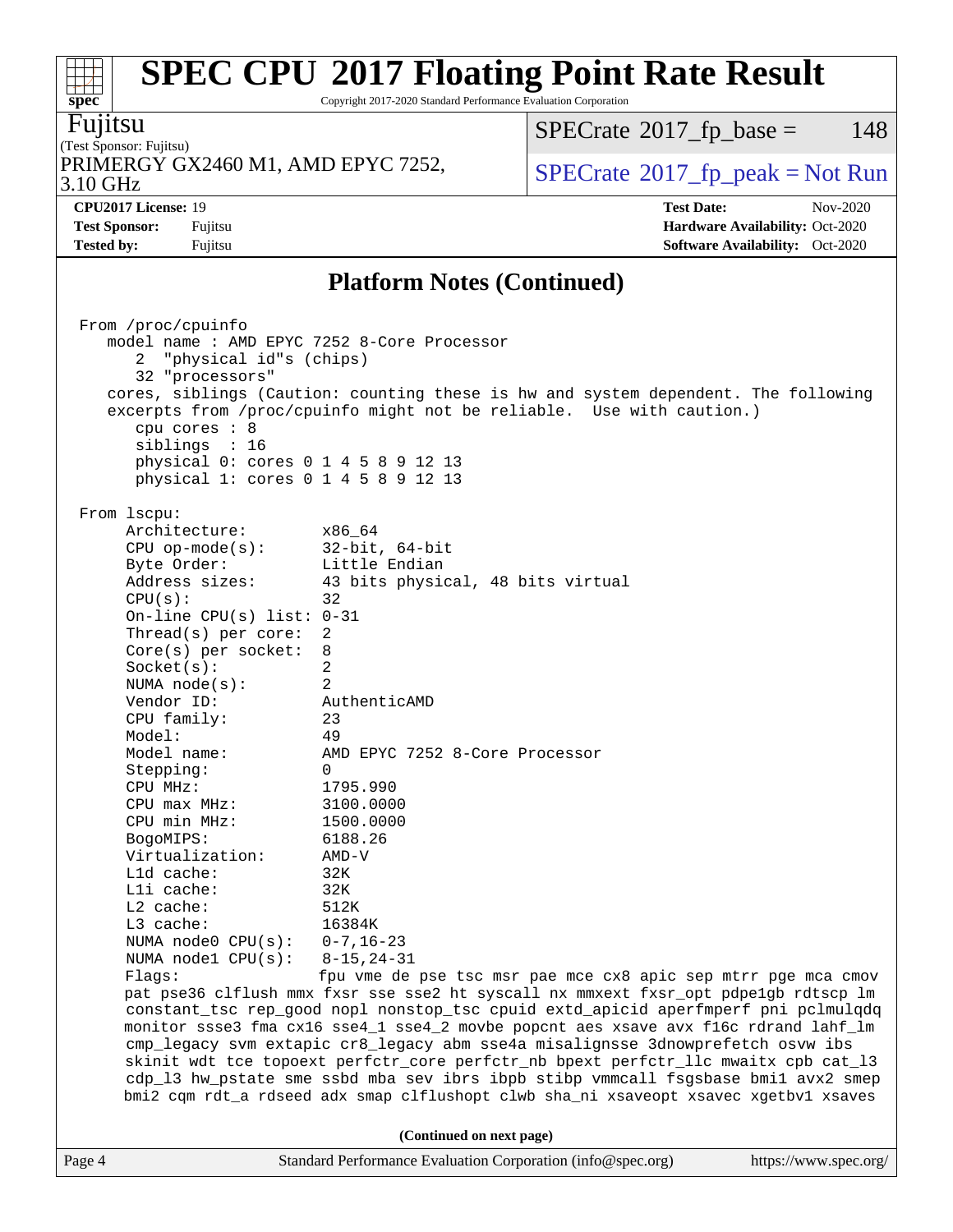Copyright 2017-2020 Standard Performance Evaluation Corporation

Fujitsu

(Test Sponsor: Fujitsu) 3.10 GHz PRIMERGY GX2460 M1, AMD EPYC 7252,  $\vert$  [SPECrate](http://www.spec.org/auto/cpu2017/Docs/result-fields.html#SPECrate2017fppeak)®[2017\\_fp\\_peak = N](http://www.spec.org/auto/cpu2017/Docs/result-fields.html#SPECrate2017fppeak)ot Run

 $SPECTate@2017<sub>fr</sub> base = 148$ 

**[CPU2017 License:](http://www.spec.org/auto/cpu2017/Docs/result-fields.html#CPU2017License)** 19 **[Test Date:](http://www.spec.org/auto/cpu2017/Docs/result-fields.html#TestDate)** Nov-2020 **[Test Sponsor:](http://www.spec.org/auto/cpu2017/Docs/result-fields.html#TestSponsor)** Fujitsu **[Hardware Availability:](http://www.spec.org/auto/cpu2017/Docs/result-fields.html#HardwareAvailability)** Oct-2020 **[Tested by:](http://www.spec.org/auto/cpu2017/Docs/result-fields.html#Testedby)** Fujitsu **[Software Availability:](http://www.spec.org/auto/cpu2017/Docs/result-fields.html#SoftwareAvailability)** Oct-2020

### **[Platform Notes \(Continued\)](http://www.spec.org/auto/cpu2017/Docs/result-fields.html#PlatformNotes)**

Page 4 Standard Performance Evaluation Corporation [\(info@spec.org\)](mailto:info@spec.org) <https://www.spec.org/> From /proc/cpuinfo model name : AMD EPYC 7252 8-Core Processor 2 "physical id"s (chips) 32 "processors" cores, siblings (Caution: counting these is hw and system dependent. The following excerpts from /proc/cpuinfo might not be reliable. Use with caution.) cpu cores : 8 siblings : 16 physical 0: cores 0 1 4 5 8 9 12 13 physical 1: cores 0 1 4 5 8 9 12 13 From lscpu: Architecture: x86\_64 CPU op-mode(s): 32-bit, 64-bit Byte Order: Little Endian Address sizes: 43 bits physical, 48 bits virtual  $CPU(s):$  32 On-line CPU(s) list: 0-31 Thread(s) per core: 2 Core(s) per socket: 8 Socket(s): 2 NUMA node(s): 2 Vendor ID: AuthenticAMD CPU family: 23 Model: 49 Model name: AMD EPYC 7252 8-Core Processor Stepping: 0 CPU MHz: 1795.990 CPU max MHz: 3100.0000 CPU min MHz: 1500.0000 BogoMIPS: 6188.26 Virtualization: AMD-V L1d cache: 32K L1i cache: 32K L2 cache: 512K L3 cache: 16384K NUMA node0 CPU(s): 0-7,16-23 NUMA node1 CPU(s): 8-15,24-31 Flags: fpu vme de pse tsc msr pae mce cx8 apic sep mtrr pge mca cmov pat pse36 clflush mmx fxsr sse sse2 ht syscall nx mmxext fxsr\_opt pdpe1gb rdtscp lm constant\_tsc rep\_good nopl nonstop\_tsc cpuid extd\_apicid aperfmperf pni pclmulqdq monitor ssse3 fma cx16 sse4\_1 sse4\_2 movbe popcnt aes xsave avx f16c rdrand lahf\_lm cmp\_legacy svm extapic cr8\_legacy abm sse4a misalignsse 3dnowprefetch osvw ibs skinit wdt tce topoext perfctr\_core perfctr\_nb bpext perfctr\_llc mwaitx cpb cat\_l3 cdp\_l3 hw\_pstate sme ssbd mba sev ibrs ibpb stibp vmmcall fsgsbase bmi1 avx2 smep bmi2 cqm rdt\_a rdseed adx smap clflushopt clwb sha\_ni xsaveopt xsavec xgetbv1 xsaves **(Continued on next page)**

a ta ƙ **[spec](http://www.spec.org/)**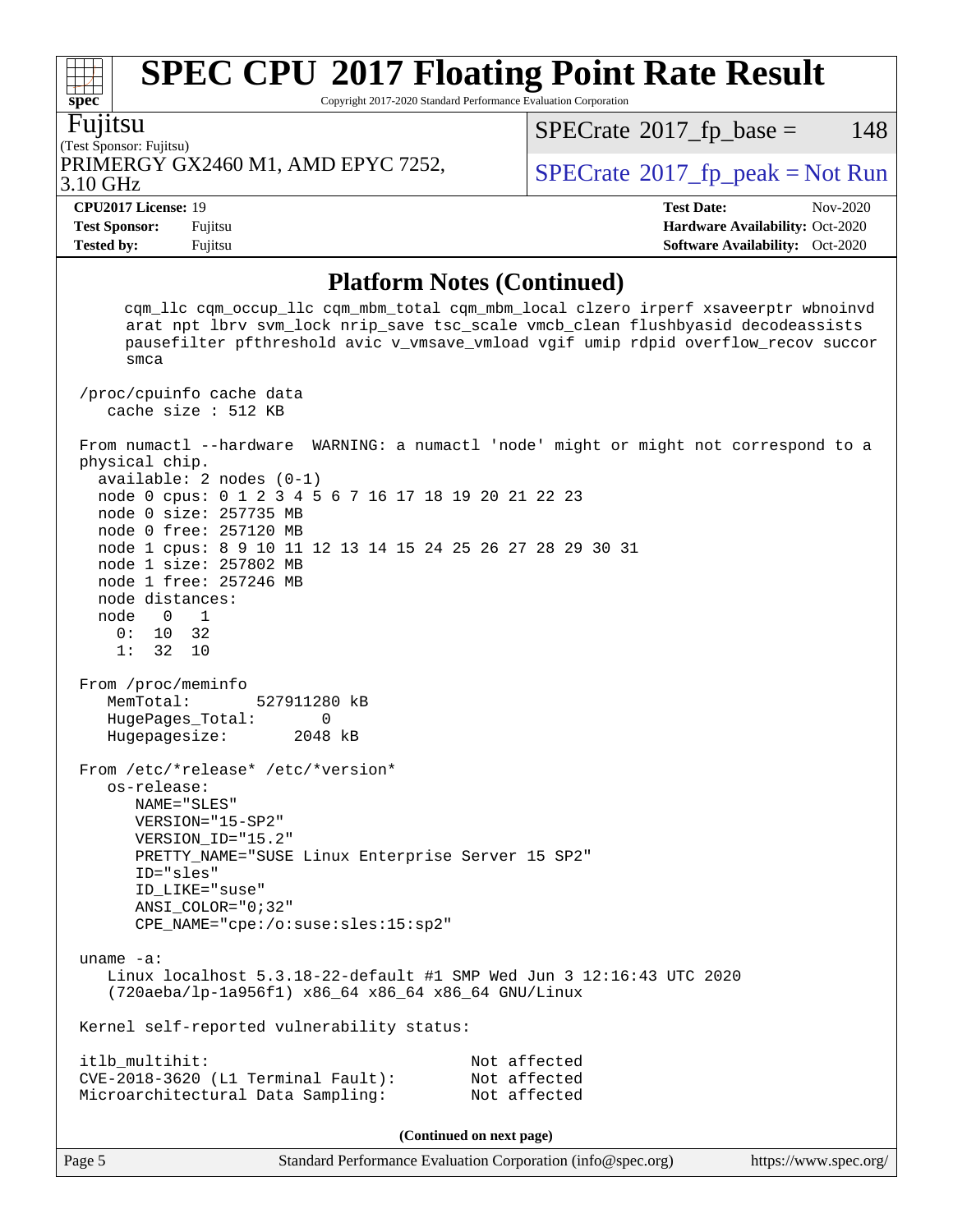Copyright 2017-2020 Standard Performance Evaluation Corporation

Fujitsu

**[spec](http://www.spec.org/)**

 $+\ +$ 

#### (Test Sponsor: Fujitsu) 3.10 GHz PRIMERGY GX2460 M1, AMD EPYC 7252, [SPECrate](http://www.spec.org/auto/cpu2017/Docs/result-fields.html#SPECrate2017fppeak)®[2017\\_fp\\_peak = N](http://www.spec.org/auto/cpu2017/Docs/result-fields.html#SPECrate2017fppeak)ot Run

 $SPECTate@2017<sub>fr</sub> base = 148$ 

**[Tested by:](http://www.spec.org/auto/cpu2017/Docs/result-fields.html#Testedby)** Fujitsu **[Software Availability:](http://www.spec.org/auto/cpu2017/Docs/result-fields.html#SoftwareAvailability)** Oct-2020

**[CPU2017 License:](http://www.spec.org/auto/cpu2017/Docs/result-fields.html#CPU2017License)** 19 **[Test Date:](http://www.spec.org/auto/cpu2017/Docs/result-fields.html#TestDate)** Nov-2020 **[Test Sponsor:](http://www.spec.org/auto/cpu2017/Docs/result-fields.html#TestSponsor)** Fujitsu **[Hardware Availability:](http://www.spec.org/auto/cpu2017/Docs/result-fields.html#HardwareAvailability)** Oct-2020

### **[Platform Notes \(Continued\)](http://www.spec.org/auto/cpu2017/Docs/result-fields.html#PlatformNotes)**

 cqm\_llc cqm\_occup\_llc cqm\_mbm\_total cqm\_mbm\_local clzero irperf xsaveerptr wbnoinvd arat npt lbrv svm\_lock nrip\_save tsc\_scale vmcb\_clean flushbyasid decodeassists pausefilter pfthreshold avic v\_vmsave\_vmload vgif umip rdpid overflow\_recov succor smca /proc/cpuinfo cache data cache size : 512 KB From numactl --hardware WARNING: a numactl 'node' might or might not correspond to a physical chip. available: 2 nodes (0-1) node 0 cpus: 0 1 2 3 4 5 6 7 16 17 18 19 20 21 22 23 node 0 size: 257735 MB node 0 free: 257120 MB node 1 cpus: 8 9 10 11 12 13 14 15 24 25 26 27 28 29 30 31 node 1 size: 257802 MB node 1 free: 257246 MB node distances: node 0 1 0: 10 32 1: 32 10 From /proc/meminfo MemTotal: 527911280 kB HugePages\_Total: 0 Hugepagesize: 2048 kB From /etc/\*release\* /etc/\*version\* os-release: NAME="SLES" VERSION="15-SP2" VERSION\_ID="15.2" PRETTY\_NAME="SUSE Linux Enterprise Server 15 SP2" ID="sles" ID\_LIKE="suse" ANSI\_COLOR="0;32" CPE\_NAME="cpe:/o:suse:sles:15:sp2" uname -a: Linux localhost 5.3.18-22-default #1 SMP Wed Jun 3 12:16:43 UTC 2020 (720aeba/lp-1a956f1) x86\_64 x86\_64 x86\_64 GNU/Linux Kernel self-reported vulnerability status: itlb\_multihit: Not affected CVE-2018-3620 (L1 Terminal Fault): Not affected Microarchitectural Data Sampling: Not affected **(Continued on next page)**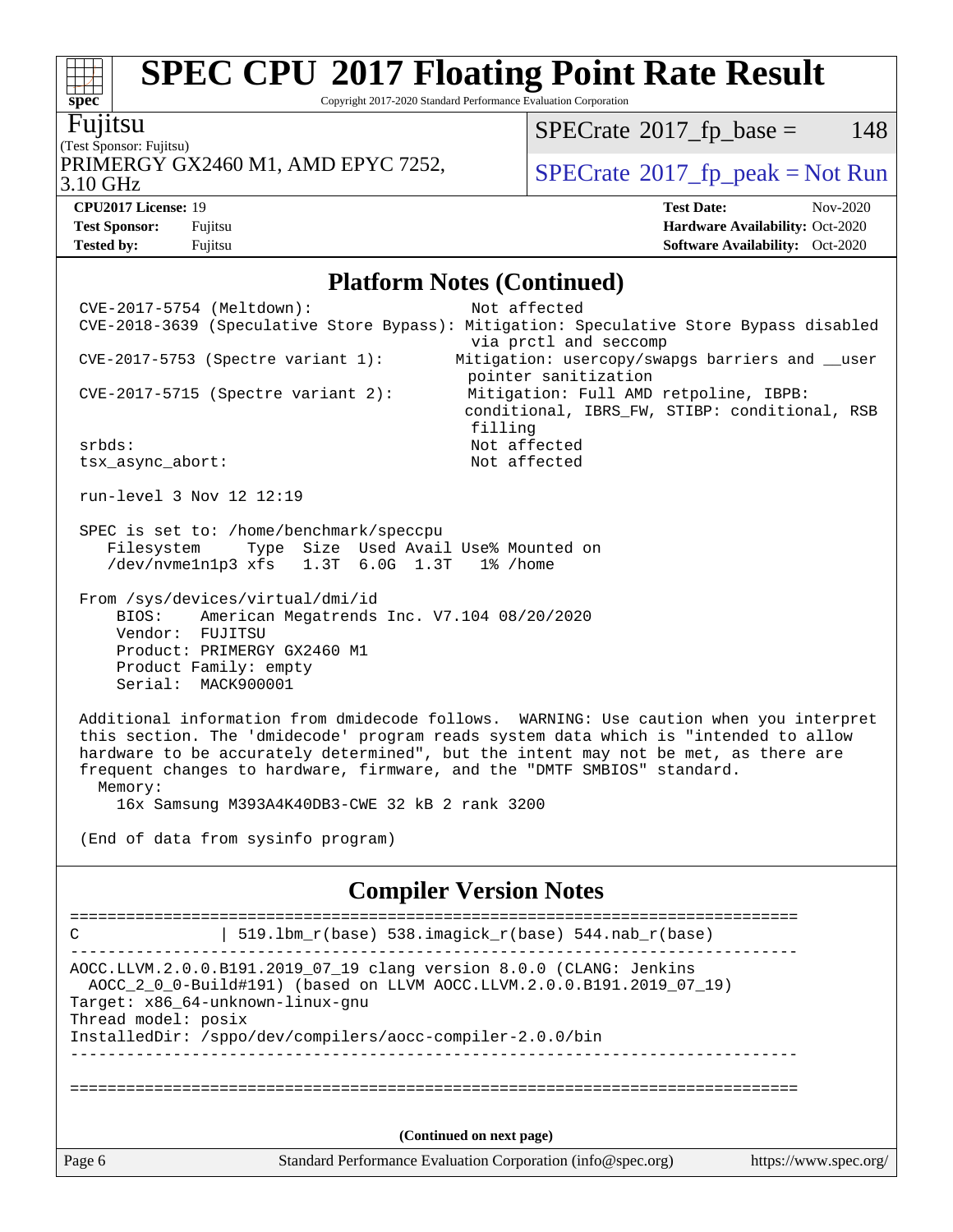Copyright 2017-2020 Standard Performance Evaluation Corporation

# **[spec](http://www.spec.org/)** Fujitsu

#### (Test Sponsor: Fujitsu) 3.10 GHz PRIMERGY GX2460 M1, AMD EPYC 7252,  $\vert$  [SPECrate](http://www.spec.org/auto/cpu2017/Docs/result-fields.html#SPECrate2017fppeak) [2017\\_fp\\_peak = N](http://www.spec.org/auto/cpu2017/Docs/result-fields.html#SPECrate2017fppeak)ot Run

 $SPECrate^{\circ}2017_fp\_base = 148$  $SPECrate^{\circ}2017_fp\_base = 148$ 

**[Tested by:](http://www.spec.org/auto/cpu2017/Docs/result-fields.html#Testedby)** Fujitsu **[Software Availability:](http://www.spec.org/auto/cpu2017/Docs/result-fields.html#SoftwareAvailability)** Oct-2020

**[CPU2017 License:](http://www.spec.org/auto/cpu2017/Docs/result-fields.html#CPU2017License)** 19 **[Test Date:](http://www.spec.org/auto/cpu2017/Docs/result-fields.html#TestDate)** Nov-2020 **[Test Sponsor:](http://www.spec.org/auto/cpu2017/Docs/result-fields.html#TestSponsor)** Fujitsu **[Hardware Availability:](http://www.spec.org/auto/cpu2017/Docs/result-fields.html#HardwareAvailability)** Oct-2020

#### **[Platform Notes \(Continued\)](http://www.spec.org/auto/cpu2017/Docs/result-fields.html#PlatformNotes)**

| CVE-2017-5754 (Meltdown):                                                                     | Not affected                                                                            |
|-----------------------------------------------------------------------------------------------|-----------------------------------------------------------------------------------------|
|                                                                                               | CVE-2018-3639 (Speculative Store Bypass): Mitigation: Speculative Store Bypass disabled |
| $CVE-2017-5753$ (Spectre variant 1):                                                          | via prctl and seccomp<br>Mitigation: usercopy/swapgs barriers and __user                |
|                                                                                               | pointer sanitization                                                                    |
| $CVE-2017-5715$ (Spectre variant 2):                                                          | Mitigation: Full AMD retpoline, IBPB:                                                   |
|                                                                                               | conditional, IBRS_FW, STIBP: conditional, RSB                                           |
| srbds:                                                                                        | filling<br>Not affected                                                                 |
| tsx_async_abort:                                                                              | Not affected                                                                            |
| run-level 3 Nov 12 12:19                                                                      |                                                                                         |
|                                                                                               |                                                                                         |
| SPEC is set to: /home/benchmark/speccpu<br>Type Size Used Avail Use% Mounted on<br>Filesystem |                                                                                         |
| /dev/nvme1n1p3 xfs 1.3T 6.0G 1.3T 1% /home                                                    |                                                                                         |
|                                                                                               |                                                                                         |
| From /sys/devices/virtual/dmi/id<br>BIOS:<br>American Megatrends Inc. V7.104 08/20/2020       |                                                                                         |
| Vendor: FUJITSU                                                                               |                                                                                         |
| Product: PRIMERGY GX2460 M1                                                                   |                                                                                         |
| Product Family: empty<br>Serial: MACK900001                                                   |                                                                                         |
|                                                                                               |                                                                                         |
|                                                                                               | Additional information from dmidecode follows. WARNING: Use caution when you interpret  |
|                                                                                               | this section. The 'dmidecode' program reads system data which is "intended to allow     |
| frequent changes to hardware, firmware, and the "DMTF SMBIOS" standard.                       | hardware to be accurately determined", but the intent may not be met, as there are      |
| Memory:                                                                                       |                                                                                         |
| 16x Samsung M393A4K40DB3-CWE 32 kB 2 rank 3200                                                |                                                                                         |
|                                                                                               |                                                                                         |
| (End of data from sysinfo program)                                                            |                                                                                         |
|                                                                                               | <b>Compiler Version Notes</b>                                                           |
|                                                                                               |                                                                                         |
| C                                                                                             | 519.1bm_r(base) 538.imagick_r(base) 544.nab_r(base)                                     |
| AOCC.LLVM.2.0.0.B191.2019_07_19 clang version 8.0.0 (CLANG: Jenkins                           |                                                                                         |
| AOCC 2 0 0-Build#191) (based on LLVM AOCC.LLVM.2.0.0.B191.2019 07 19)                         |                                                                                         |
| Target: x86_64-unknown-linux-gnu<br>Thread model: posix                                       |                                                                                         |
| InstalledDir: /sppo/dev/compilers/aocc-compiler-2.0.0/bin                                     |                                                                                         |
|                                                                                               |                                                                                         |
|                                                                                               |                                                                                         |
|                                                                                               |                                                                                         |
|                                                                                               | (Continued on next page)                                                                |
|                                                                                               |                                                                                         |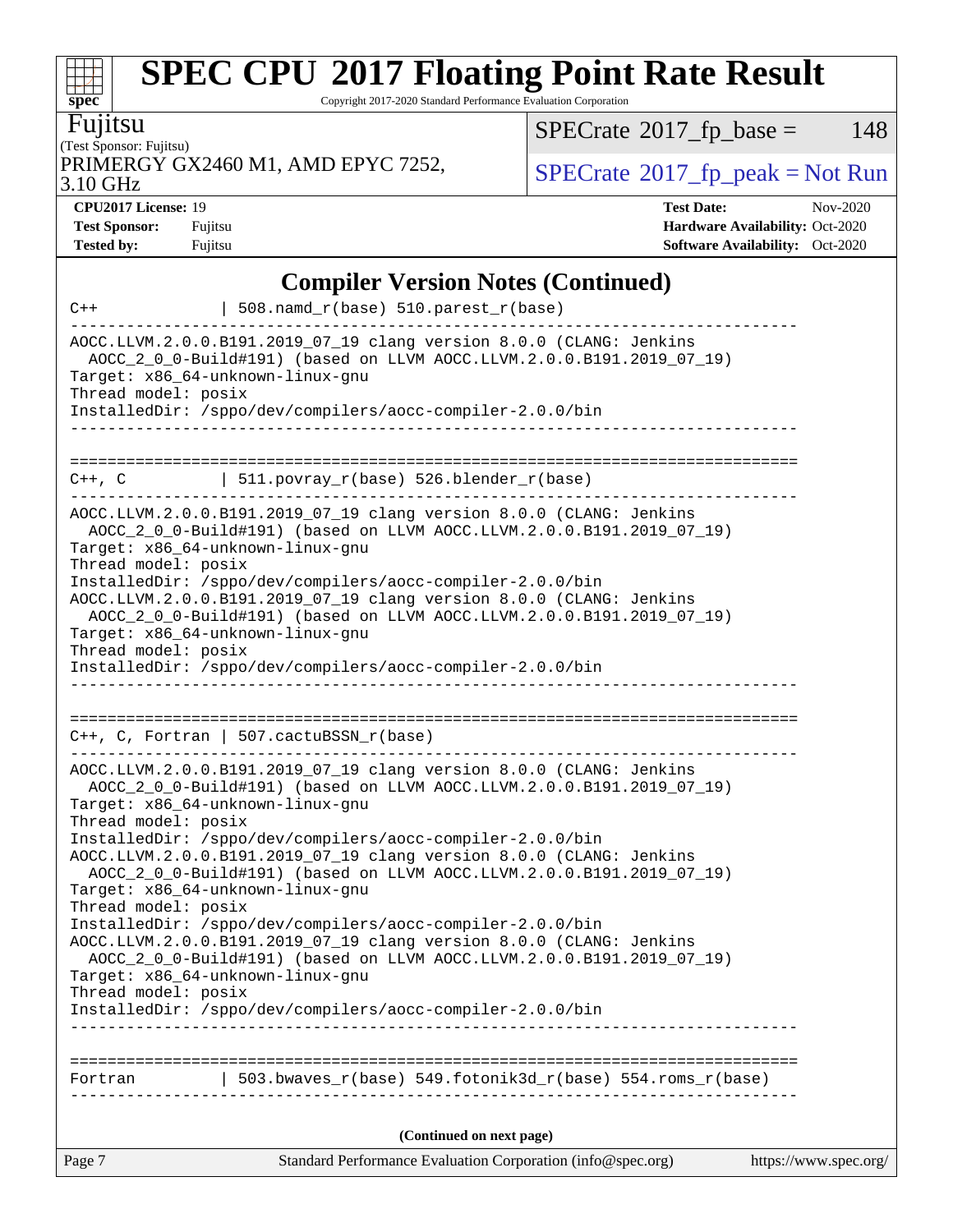Copyright 2017-2020 Standard Performance Evaluation Corporation

Fujitsu

**[spec](http://www.spec.org/)**

(Test Sponsor: Fujitsu) PRIMERGY GX2460 M1, AMD EPYC 7252,  $\vert$  [SPECrate](http://www.spec.org/auto/cpu2017/Docs/result-fields.html#SPECrate2017fppeak) [2017\\_fp\\_peak = N](http://www.spec.org/auto/cpu2017/Docs/result-fields.html#SPECrate2017fppeak)ot Run

 $SPECTate@2017_fp\_base = 148$ 

3.10 GHz

**[CPU2017 License:](http://www.spec.org/auto/cpu2017/Docs/result-fields.html#CPU2017License)** 19 **[Test Date:](http://www.spec.org/auto/cpu2017/Docs/result-fields.html#TestDate)** Nov-2020

**[Test Sponsor:](http://www.spec.org/auto/cpu2017/Docs/result-fields.html#TestSponsor)** Fujitsu **[Hardware Availability:](http://www.spec.org/auto/cpu2017/Docs/result-fields.html#HardwareAvailability)** Oct-2020 **[Tested by:](http://www.spec.org/auto/cpu2017/Docs/result-fields.html#Testedby)** Fujitsu **[Software Availability:](http://www.spec.org/auto/cpu2017/Docs/result-fields.html#SoftwareAvailability)** Oct-2020

|                                                                                                                                                                               | <b>Compiler Version Notes (Continued)</b>                                                                                                                                                                                                                                                                                                                                                                                                                                                                                                                                                                                                                                         |                       |
|-------------------------------------------------------------------------------------------------------------------------------------------------------------------------------|-----------------------------------------------------------------------------------------------------------------------------------------------------------------------------------------------------------------------------------------------------------------------------------------------------------------------------------------------------------------------------------------------------------------------------------------------------------------------------------------------------------------------------------------------------------------------------------------------------------------------------------------------------------------------------------|-----------------------|
| $C++$                                                                                                                                                                         | 508.namd_r(base) 510.parest_r(base)                                                                                                                                                                                                                                                                                                                                                                                                                                                                                                                                                                                                                                               |                       |
| Target: x86_64-unknown-linux-gnu<br>Thread model: posix                                                                                                                       | AOCC.LLVM.2.0.0.B191.2019_07_19 clang version 8.0.0 (CLANG: Jenkins<br>AOCC_2_0_0-Build#191) (based on LLVM AOCC.LLVM.2.0.0.B191.2019_07_19)<br>InstalledDir: /sppo/dev/compilers/aocc-compiler-2.0.0/bin                                                                                                                                                                                                                                                                                                                                                                                                                                                                         |                       |
| $C++$ , $C$                                                                                                                                                                   | $\vert$ 511.povray_r(base) 526.blender_r(base)                                                                                                                                                                                                                                                                                                                                                                                                                                                                                                                                                                                                                                    |                       |
| Target: x86_64-unknown-linux-gnu<br>Thread model: posix<br>Target: x86_64-unknown-linux-gnu<br>Thread model: posix                                                            | AOCC.LLVM.2.0.0.B191.2019_07_19 clang version 8.0.0 (CLANG: Jenkins<br>AOCC_2_0_0-Build#191) (based on LLVM AOCC.LLVM.2.0.0.B191.2019_07_19)<br>InstalledDir: /sppo/dev/compilers/aocc-compiler-2.0.0/bin<br>AOCC.LLVM.2.0.0.B191.2019_07_19 clang version 8.0.0 (CLANG: Jenkins<br>AOCC_2_0_0-Build#191) (based on LLVM AOCC.LLVM.2.0.0.B191.2019_07_19)                                                                                                                                                                                                                                                                                                                         |                       |
|                                                                                                                                                                               | InstalledDir: /sppo/dev/compilers/aocc-compiler-2.0.0/bin                                                                                                                                                                                                                                                                                                                                                                                                                                                                                                                                                                                                                         |                       |
| Target: x86_64-unknown-linux-gnu<br>Thread model: posix<br>Target: x86_64-unknown-linux-gnu<br>Thread model: posix<br>Target: x86_64-unknown-linux-gnu<br>Thread model: posix | $C++$ , C, Fortran   507.cactuBSSN_r(base)<br>AOCC.LLVM.2.0.0.B191.2019_07_19 clang version 8.0.0 (CLANG: Jenkins<br>AOCC_2_0_0-Build#191) (based on LLVM AOCC.LLVM.2.0.0.B191.2019_07_19)<br>InstalledDir: /sppo/dev/compilers/aocc-compiler-2.0.0/bin<br>AOCC.LLVM.2.0.0.B191.2019_07_19 clang version 8.0.0 (CLANG: Jenkins<br>AOCC_2_0_0-Build#191) (based on LLVM AOCC.LLVM.2.0.0.B191.2019_07_19)<br>InstalledDir: /sppo/dev/compilers/aocc-compiler-2.0.0/bin<br>AOCC.LLVM.2.0.0.B191.2019_07_19 clang version 8.0.0 (CLANG: Jenkins<br>AOCC_2_0_0-Build#191) (based on LLVM AOCC.LLVM.2.0.0.B191.2019_07_19)<br>InstalledDir: /sppo/dev/compilers/aocc-compiler-2.0.0/bin |                       |
|                                                                                                                                                                               | Fortran   503.bwaves_r(base) 549.fotonik3d_r(base) 554.roms_r(base)                                                                                                                                                                                                                                                                                                                                                                                                                                                                                                                                                                                                               |                       |
|                                                                                                                                                                               |                                                                                                                                                                                                                                                                                                                                                                                                                                                                                                                                                                                                                                                                                   |                       |
|                                                                                                                                                                               | (Continued on next page)                                                                                                                                                                                                                                                                                                                                                                                                                                                                                                                                                                                                                                                          |                       |
| Page 7                                                                                                                                                                        | Standard Performance Evaluation Corporation (info@spec.org)                                                                                                                                                                                                                                                                                                                                                                                                                                                                                                                                                                                                                       | https://www.spec.org/ |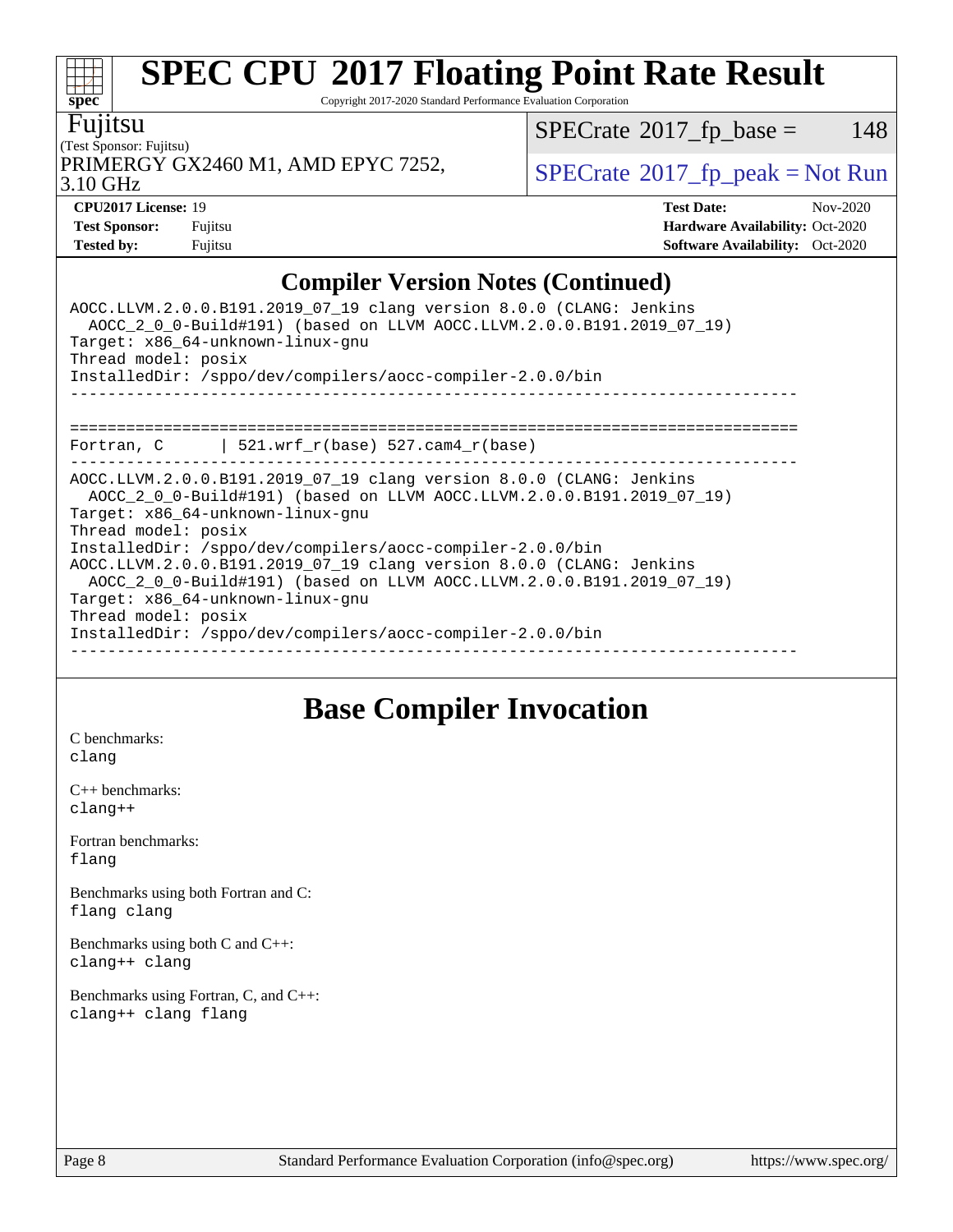Copyright 2017-2020 Standard Performance Evaluation Corporation

#### Fujitsu

**[spec](http://www.spec.org/)**

(Test Sponsor: Fujitsu) PRIMERGY GX2460 M1, AMD EPYC 7252,  $\vert$ [SPECrate](http://www.spec.org/auto/cpu2017/Docs/result-fields.html#SPECrate2017fppeak)®[2017\\_fp\\_peak = N](http://www.spec.org/auto/cpu2017/Docs/result-fields.html#SPECrate2017fppeak)ot Run

 $SPECTate@2017_fp\_base = 148$ 

3.10 GHz

**[CPU2017 License:](http://www.spec.org/auto/cpu2017/Docs/result-fields.html#CPU2017License)** 19 **[Test Date:](http://www.spec.org/auto/cpu2017/Docs/result-fields.html#TestDate)** Nov-2020 **[Test Sponsor:](http://www.spec.org/auto/cpu2017/Docs/result-fields.html#TestSponsor)** Fujitsu **[Hardware Availability:](http://www.spec.org/auto/cpu2017/Docs/result-fields.html#HardwareAvailability)** Oct-2020 **[Tested by:](http://www.spec.org/auto/cpu2017/Docs/result-fields.html#Testedby)** Fujitsu **[Software Availability:](http://www.spec.org/auto/cpu2017/Docs/result-fields.html#SoftwareAvailability)** Oct-2020

### **[Compiler Version Notes \(Continued\)](http://www.spec.org/auto/cpu2017/Docs/result-fields.html#CompilerVersionNotes)**

| AOCC.LLVM.2.0.0.B191.2019_07_19 clang version 8.0.0 (CLANG: Jenkins<br>AOCC_2_0_0-Build#191) (based on LLVM AOCC.LLVM.2.0.0.B191.2019_07_19)<br>Target: x86 64-unknown-linux-gnu<br>Thread model: posix<br>InstalledDir: /sppo/dev/compilers/aocc-compiler-2.0.0/bin |
|----------------------------------------------------------------------------------------------------------------------------------------------------------------------------------------------------------------------------------------------------------------------|
|                                                                                                                                                                                                                                                                      |
| Fortran, $C$   521.wrf_r(base) 527.cam4_r(base)                                                                                                                                                                                                                      |
|                                                                                                                                                                                                                                                                      |
| AOCC.LLVM.2.0.0.B191.2019_07_19 clang version 8.0.0 (CLANG: Jenkins                                                                                                                                                                                                  |
| AOCC_2_0_0-Build#191) (based on LLVM AOCC.LLVM.2.0.0.B191.2019_07_19)                                                                                                                                                                                                |
| Target: x86 64-unknown-linux-gnu                                                                                                                                                                                                                                     |
| Thread model: posix                                                                                                                                                                                                                                                  |
| InstalledDir: /sppo/dev/compilers/aocc-compiler-2.0.0/bin                                                                                                                                                                                                            |
| AOCC.LLVM.2.0.0.B191.2019_07_19 clang version 8.0.0 (CLANG: Jenkins                                                                                                                                                                                                  |
| AOCC 2 0 0-Build#191) (based on LLVM AOCC.LLVM.2.0.0.B191.2019 07 19)                                                                                                                                                                                                |
| Target: x86 64-unknown-linux-gnu                                                                                                                                                                                                                                     |
| Thread model: posix                                                                                                                                                                                                                                                  |
| InstalledDir: /sppo/dev/compilers/aocc-compiler-2.0.0/bin                                                                                                                                                                                                            |
|                                                                                                                                                                                                                                                                      |

### **[Base Compiler Invocation](http://www.spec.org/auto/cpu2017/Docs/result-fields.html#BaseCompilerInvocation)**

[C benchmarks](http://www.spec.org/auto/cpu2017/Docs/result-fields.html#Cbenchmarks): [clang](http://www.spec.org/cpu2017/results/res2020q4/cpu2017-20201124-24484.flags.html#user_CCbase_clang-c)

[C++ benchmarks:](http://www.spec.org/auto/cpu2017/Docs/result-fields.html#CXXbenchmarks) [clang++](http://www.spec.org/cpu2017/results/res2020q4/cpu2017-20201124-24484.flags.html#user_CXXbase_clang-cpp)

[Fortran benchmarks](http://www.spec.org/auto/cpu2017/Docs/result-fields.html#Fortranbenchmarks): [flang](http://www.spec.org/cpu2017/results/res2020q4/cpu2017-20201124-24484.flags.html#user_FCbase_flang)

[Benchmarks using both Fortran and C](http://www.spec.org/auto/cpu2017/Docs/result-fields.html#BenchmarksusingbothFortranandC): [flang](http://www.spec.org/cpu2017/results/res2020q4/cpu2017-20201124-24484.flags.html#user_CC_FCbase_flang) [clang](http://www.spec.org/cpu2017/results/res2020q4/cpu2017-20201124-24484.flags.html#user_CC_FCbase_clang-c)

[Benchmarks using both C and C++](http://www.spec.org/auto/cpu2017/Docs/result-fields.html#BenchmarksusingbothCandCXX): [clang++](http://www.spec.org/cpu2017/results/res2020q4/cpu2017-20201124-24484.flags.html#user_CC_CXXbase_clang-cpp) [clang](http://www.spec.org/cpu2017/results/res2020q4/cpu2017-20201124-24484.flags.html#user_CC_CXXbase_clang-c)

[Benchmarks using Fortran, C, and C++:](http://www.spec.org/auto/cpu2017/Docs/result-fields.html#BenchmarksusingFortranCandCXX) [clang++](http://www.spec.org/cpu2017/results/res2020q4/cpu2017-20201124-24484.flags.html#user_CC_CXX_FCbase_clang-cpp) [clang](http://www.spec.org/cpu2017/results/res2020q4/cpu2017-20201124-24484.flags.html#user_CC_CXX_FCbase_clang-c) [flang](http://www.spec.org/cpu2017/results/res2020q4/cpu2017-20201124-24484.flags.html#user_CC_CXX_FCbase_flang)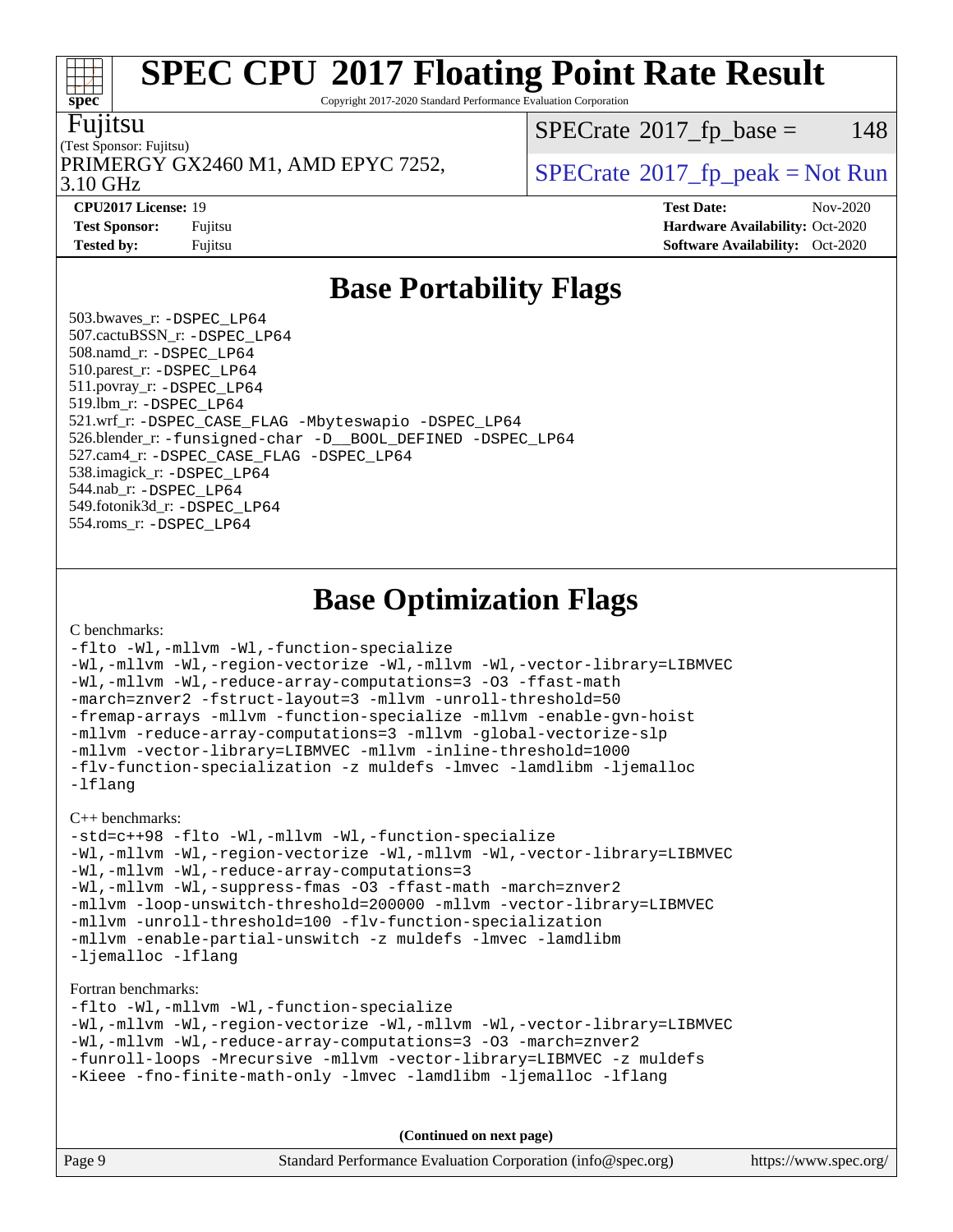Copyright 2017-2020 Standard Performance Evaluation Corporation

#### Fujitsu

**[spec](http://www.spec.org/)**

 $\pm r$ 

#### (Test Sponsor: Fujitsu) 3.10 GHz PRIMERGY GX2460 M1, AMD EPYC 7252,  $\vert$  [SPECrate](http://www.spec.org/auto/cpu2017/Docs/result-fields.html#SPECrate2017fppeak) 2017 fp peak = Not Run

 $SPECTate@2017<sub>fr</sub> base = 148$ 

**[CPU2017 License:](http://www.spec.org/auto/cpu2017/Docs/result-fields.html#CPU2017License)** 19 **[Test Date:](http://www.spec.org/auto/cpu2017/Docs/result-fields.html#TestDate)** Nov-2020 **[Test Sponsor:](http://www.spec.org/auto/cpu2017/Docs/result-fields.html#TestSponsor)** Fujitsu **[Hardware Availability:](http://www.spec.org/auto/cpu2017/Docs/result-fields.html#HardwareAvailability)** Oct-2020 **[Tested by:](http://www.spec.org/auto/cpu2017/Docs/result-fields.html#Testedby)** Fujitsu **[Software Availability:](http://www.spec.org/auto/cpu2017/Docs/result-fields.html#SoftwareAvailability)** Oct-2020

### **[Base Portability Flags](http://www.spec.org/auto/cpu2017/Docs/result-fields.html#BasePortabilityFlags)**

 503.bwaves\_r: [-DSPEC\\_LP64](http://www.spec.org/cpu2017/results/res2020q4/cpu2017-20201124-24484.flags.html#suite_baseEXTRA_PORTABILITY503_bwaves_r_DSPEC_LP64) 507.cactuBSSN\_r: [-DSPEC\\_LP64](http://www.spec.org/cpu2017/results/res2020q4/cpu2017-20201124-24484.flags.html#suite_baseEXTRA_PORTABILITY507_cactuBSSN_r_DSPEC_LP64) 508.namd\_r: [-DSPEC\\_LP64](http://www.spec.org/cpu2017/results/res2020q4/cpu2017-20201124-24484.flags.html#suite_baseEXTRA_PORTABILITY508_namd_r_DSPEC_LP64) 510.parest\_r: [-DSPEC\\_LP64](http://www.spec.org/cpu2017/results/res2020q4/cpu2017-20201124-24484.flags.html#suite_baseEXTRA_PORTABILITY510_parest_r_DSPEC_LP64) 511.povray\_r: [-DSPEC\\_LP64](http://www.spec.org/cpu2017/results/res2020q4/cpu2017-20201124-24484.flags.html#suite_baseEXTRA_PORTABILITY511_povray_r_DSPEC_LP64) 519.lbm\_r: [-DSPEC\\_LP64](http://www.spec.org/cpu2017/results/res2020q4/cpu2017-20201124-24484.flags.html#suite_baseEXTRA_PORTABILITY519_lbm_r_DSPEC_LP64) 521.wrf\_r: [-DSPEC\\_CASE\\_FLAG](http://www.spec.org/cpu2017/results/res2020q4/cpu2017-20201124-24484.flags.html#b521.wrf_r_baseCPORTABILITY_DSPEC_CASE_FLAG) [-Mbyteswapio](http://www.spec.org/cpu2017/results/res2020q4/cpu2017-20201124-24484.flags.html#user_baseFPORTABILITY521_wrf_r_F-mbyteswapio_543c39ce38db59bcbc3b888917ef58c313007ae1c27520b689e012995ae261114051d1d5efcb4182d175ce22a6a15532d3a9999882dd2c360e6d853f41da6883) [-DSPEC\\_LP64](http://www.spec.org/cpu2017/results/res2020q4/cpu2017-20201124-24484.flags.html#suite_baseEXTRA_PORTABILITY521_wrf_r_DSPEC_LP64) 526.blender r: [-funsigned-char](http://www.spec.org/cpu2017/results/res2020q4/cpu2017-20201124-24484.flags.html#user_baseCPORTABILITY526_blender_r_aocc-unsigned-char) [-D\\_\\_BOOL\\_DEFINED](http://www.spec.org/cpu2017/results/res2020q4/cpu2017-20201124-24484.flags.html#b526.blender_r_baseCXXPORTABILITY_D__BOOL_DEFINED) [-DSPEC\\_LP64](http://www.spec.org/cpu2017/results/res2020q4/cpu2017-20201124-24484.flags.html#suite_baseEXTRA_PORTABILITY526_blender_r_DSPEC_LP64) 527.cam4\_r: [-DSPEC\\_CASE\\_FLAG](http://www.spec.org/cpu2017/results/res2020q4/cpu2017-20201124-24484.flags.html#b527.cam4_r_basePORTABILITY_DSPEC_CASE_FLAG) [-DSPEC\\_LP64](http://www.spec.org/cpu2017/results/res2020q4/cpu2017-20201124-24484.flags.html#suite_baseEXTRA_PORTABILITY527_cam4_r_DSPEC_LP64) 538.imagick\_r: [-DSPEC\\_LP64](http://www.spec.org/cpu2017/results/res2020q4/cpu2017-20201124-24484.flags.html#suite_baseEXTRA_PORTABILITY538_imagick_r_DSPEC_LP64) 544.nab\_r: [-DSPEC\\_LP64](http://www.spec.org/cpu2017/results/res2020q4/cpu2017-20201124-24484.flags.html#suite_baseEXTRA_PORTABILITY544_nab_r_DSPEC_LP64) 549.fotonik3d\_r: [-DSPEC\\_LP64](http://www.spec.org/cpu2017/results/res2020q4/cpu2017-20201124-24484.flags.html#suite_baseEXTRA_PORTABILITY549_fotonik3d_r_DSPEC_LP64) 554.roms\_r: [-DSPEC\\_LP64](http://www.spec.org/cpu2017/results/res2020q4/cpu2017-20201124-24484.flags.html#suite_baseEXTRA_PORTABILITY554_roms_r_DSPEC_LP64)

**[Base Optimization Flags](http://www.spec.org/auto/cpu2017/Docs/result-fields.html#BaseOptimizationFlags)**

[C benchmarks](http://www.spec.org/auto/cpu2017/Docs/result-fields.html#Cbenchmarks):

```
-flto -Wl,-mllvm -Wl,-function-specialize
-Wl,-mllvm -Wl,-region-vectorize -Wl,-mllvm -Wl,-vector-library=LIBMVEC
-Wl,-mllvm -Wl,-reduce-array-computations=3 -O3 -ffast-math
-march=znver2 -fstruct-layout=3 -mllvm -unroll-threshold=50
-fremap-arrays -mllvm -function-specialize -mllvm -enable-gvn-hoist
-mllvm -reduce-array-computations=3 -mllvm -global-vectorize-slp
-mllvm -vector-library=LIBMVEC -mllvm -inline-threshold=1000
-flv-function-specialization -z muldefs -lmvec -lamdlibm -ljemalloc
-lflang
```
[C++ benchmarks:](http://www.spec.org/auto/cpu2017/Docs/result-fields.html#CXXbenchmarks)

```
-std=c++98 -flto -Wl,-mllvm -Wl,-function-specialize
-Wl,-mllvm -Wl,-region-vectorize -Wl,-mllvm -Wl,-vector-library=LIBMVEC
-Wl,-mllvm -Wl,-reduce-array-computations=3
-Wl,-mllvm -Wl,-suppress-fmas -O3 -ffast-math -march=znver2
-mllvm -loop-unswitch-threshold=200000 -mllvm -vector-library=LIBMVEC
-mllvm -unroll-threshold=100 -flv-function-specialization
-mllvm -enable-partial-unswitch -z muldefs -lmvec -lamdlibm
-ljemalloc -lflang
```
[Fortran benchmarks](http://www.spec.org/auto/cpu2017/Docs/result-fields.html#Fortranbenchmarks):

[-flto](http://www.spec.org/cpu2017/results/res2020q4/cpu2017-20201124-24484.flags.html#user_FCbase_aocc-flto) [-Wl,-mllvm -Wl,-function-specialize](http://www.spec.org/cpu2017/results/res2020q4/cpu2017-20201124-24484.flags.html#user_FCbase_F-function-specialize_7e7e661e57922243ee67c9a1251cb8910e607325179a0ce7f2884e09a6f5d4a5ef0ae4f37e8a2a11c95fc48e931f06dc2b6016f14b511fcb441e048bef1b065a) [-Wl,-mllvm -Wl,-region-vectorize](http://www.spec.org/cpu2017/results/res2020q4/cpu2017-20201124-24484.flags.html#user_FCbase_F-region-vectorize_fb6c6b5aa293c88efc6c7c2b52b20755e943585b1fe8658c35afef78727fff56e1a56891413c30e36b8e2a6f9a71126986319243e80eb6110b78b288f533c52b) [-Wl,-mllvm -Wl,-vector-library=LIBMVEC](http://www.spec.org/cpu2017/results/res2020q4/cpu2017-20201124-24484.flags.html#user_FCbase_F-use-vector-library_0a14b27fae317f283640384a31f7bfcc2bd4c1d0b5cfc618a3a430800c9b20217b00f61303eff223a3251b4f06ffbc9739dc5296db9d1fbb9ad24a3939d86d66) [-Wl,-mllvm -Wl,-reduce-array-computations=3](http://www.spec.org/cpu2017/results/res2020q4/cpu2017-20201124-24484.flags.html#user_FCbase_F-reduce-array-computations_b882aefe7a5dda4e33149f6299762b9a720dace3e498e13756f4c04e5a19edf5315c1f3993de2e61ec41e8c206231f84e05da7040e1bb5d69ba27d10a12507e4) [-O3](http://www.spec.org/cpu2017/results/res2020q4/cpu2017-20201124-24484.flags.html#user_FCbase_F-O3) [-march=znver2](http://www.spec.org/cpu2017/results/res2020q4/cpu2017-20201124-24484.flags.html#user_FCbase_aocc-march_3e2e19cff2eeef60c5d90b059483627c9ea47eca6d66670dbd53f9185f6439e27eb5e104cf773e9e8ab18c8842ce63e461a3e948d0214bd567ef3ade411bf467) [-funroll-loops](http://www.spec.org/cpu2017/results/res2020q4/cpu2017-20201124-24484.flags.html#user_FCbase_aocc-unroll-loops) [-Mrecursive](http://www.spec.org/cpu2017/results/res2020q4/cpu2017-20201124-24484.flags.html#user_FCbase_F-mrecursive_20a145d63f12d5750a899e17d4450b5b8b40330a9bb4af13688ca650e6fb30857bbbe44fb35cdbb895df6e5b2769de0a0d7659f51ff17acfbef6febafec4023f) [-mllvm -vector-library=LIBMVEC](http://www.spec.org/cpu2017/results/res2020q4/cpu2017-20201124-24484.flags.html#user_FCbase_F-use-vector-library_e584e20b4f7ec96aa109254b65d8e01d864f3d68580371b9d93ed7c338191d4cfce20c3c864632264effc6bbe4c7c38153d02096a342ee92501c4a53204a7871) [-z muldefs](http://www.spec.org/cpu2017/results/res2020q4/cpu2017-20201124-24484.flags.html#user_FCbase_aocc-muldefs) [-Kieee](http://www.spec.org/cpu2017/results/res2020q4/cpu2017-20201124-24484.flags.html#user_FCbase_F-kieee) [-fno-finite-math-only](http://www.spec.org/cpu2017/results/res2020q4/cpu2017-20201124-24484.flags.html#user_FCbase_aocc-fno-finite-math-only) [-lmvec](http://www.spec.org/cpu2017/results/res2020q4/cpu2017-20201124-24484.flags.html#user_FCbase_F-lmvec) [-lamdlibm](http://www.spec.org/cpu2017/results/res2020q4/cpu2017-20201124-24484.flags.html#user_FCbase_F-lamdlibm) [-ljemalloc](http://www.spec.org/cpu2017/results/res2020q4/cpu2017-20201124-24484.flags.html#user_FCbase_jemalloc-lib) [-lflang](http://www.spec.org/cpu2017/results/res2020q4/cpu2017-20201124-24484.flags.html#user_FCbase_F-lflang)

**(Continued on next page)**

| Page 9 | Standard Performance Evaluation Corporation (info@spec.org) | https://www.spec.org/ |
|--------|-------------------------------------------------------------|-----------------------|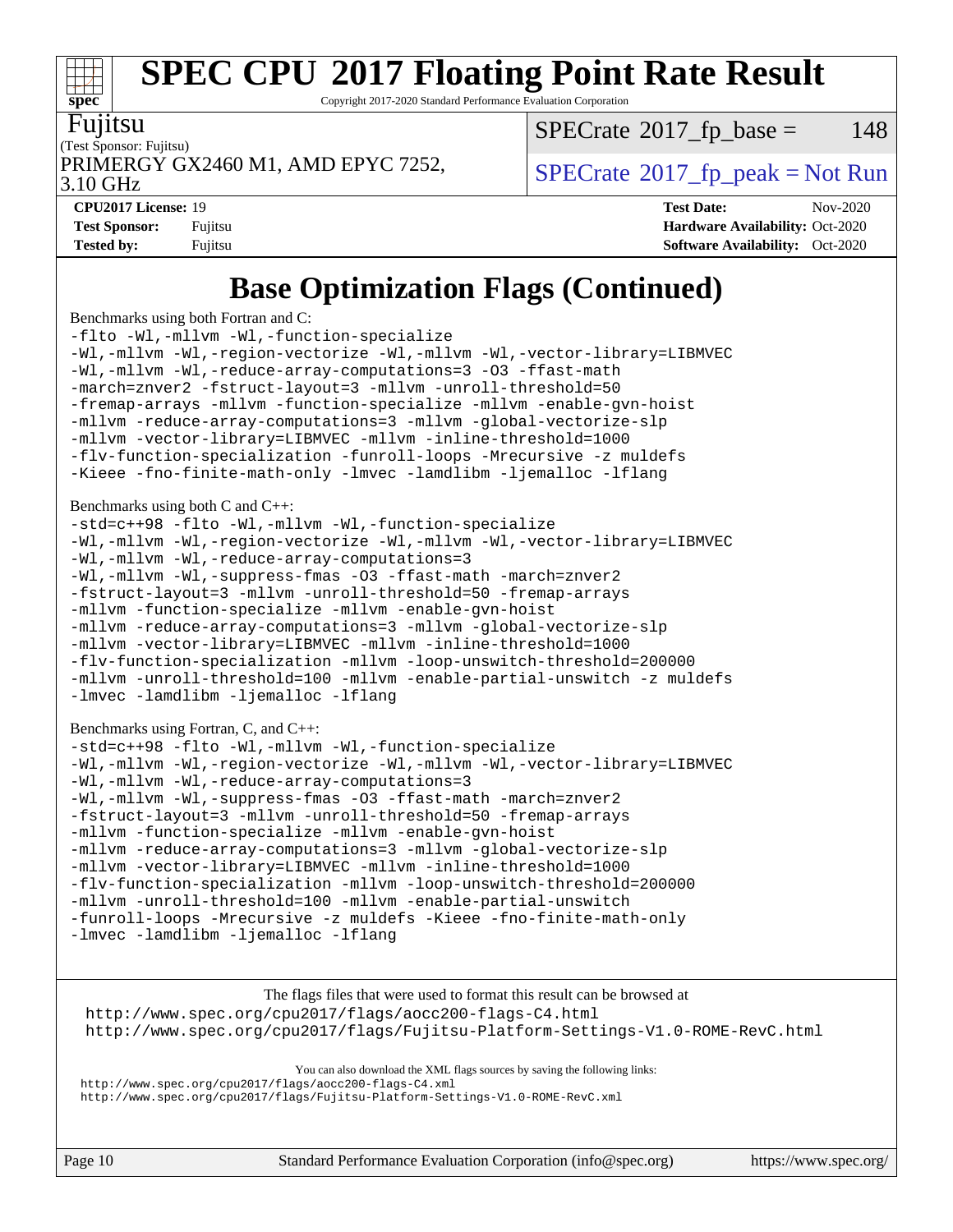Copyright 2017-2020 Standard Performance Evaluation Corporation

Fujitsu

**[spec](http://www.spec.org/)**

 $\pm r$ 

(Test Sponsor: Fujitsu)

 $SPECTate@2017<sub>fr</sub> base = 148$ 

3.10 GHz

PRIMERGY GX2460 M1, AMD EPYC 7252,  $\vert$  [SPECrate](http://www.spec.org/auto/cpu2017/Docs/result-fields.html#SPECrate2017fppeak) 2017 fp peak = Not Run

**[CPU2017 License:](http://www.spec.org/auto/cpu2017/Docs/result-fields.html#CPU2017License)** 19 **[Test Date:](http://www.spec.org/auto/cpu2017/Docs/result-fields.html#TestDate)** Nov-2020 **[Test Sponsor:](http://www.spec.org/auto/cpu2017/Docs/result-fields.html#TestSponsor)** Fujitsu **[Hardware Availability:](http://www.spec.org/auto/cpu2017/Docs/result-fields.html#HardwareAvailability)** Oct-2020 **[Tested by:](http://www.spec.org/auto/cpu2017/Docs/result-fields.html#Testedby)** Fujitsu **[Software Availability:](http://www.spec.org/auto/cpu2017/Docs/result-fields.html#SoftwareAvailability)** Oct-2020

### **[Base Optimization Flags \(Continued\)](http://www.spec.org/auto/cpu2017/Docs/result-fields.html#BaseOptimizationFlags)**

[Benchmarks using both Fortran and C](http://www.spec.org/auto/cpu2017/Docs/result-fields.html#BenchmarksusingbothFortranandC):

[-flto](http://www.spec.org/cpu2017/results/res2020q4/cpu2017-20201124-24484.flags.html#user_CC_FCbase_aocc-flto) [-Wl,-mllvm -Wl,-function-specialize](http://www.spec.org/cpu2017/results/res2020q4/cpu2017-20201124-24484.flags.html#user_CC_FCbase_F-function-specialize_7e7e661e57922243ee67c9a1251cb8910e607325179a0ce7f2884e09a6f5d4a5ef0ae4f37e8a2a11c95fc48e931f06dc2b6016f14b511fcb441e048bef1b065a) [-Wl,-mllvm -Wl,-region-vectorize](http://www.spec.org/cpu2017/results/res2020q4/cpu2017-20201124-24484.flags.html#user_CC_FCbase_F-region-vectorize_fb6c6b5aa293c88efc6c7c2b52b20755e943585b1fe8658c35afef78727fff56e1a56891413c30e36b8e2a6f9a71126986319243e80eb6110b78b288f533c52b) [-Wl,-mllvm -Wl,-vector-library=LIBMVEC](http://www.spec.org/cpu2017/results/res2020q4/cpu2017-20201124-24484.flags.html#user_CC_FCbase_F-use-vector-library_0a14b27fae317f283640384a31f7bfcc2bd4c1d0b5cfc618a3a430800c9b20217b00f61303eff223a3251b4f06ffbc9739dc5296db9d1fbb9ad24a3939d86d66) [-Wl,-mllvm -Wl,-reduce-array-computations=3](http://www.spec.org/cpu2017/results/res2020q4/cpu2017-20201124-24484.flags.html#user_CC_FCbase_F-reduce-array-computations_b882aefe7a5dda4e33149f6299762b9a720dace3e498e13756f4c04e5a19edf5315c1f3993de2e61ec41e8c206231f84e05da7040e1bb5d69ba27d10a12507e4) [-O3](http://www.spec.org/cpu2017/results/res2020q4/cpu2017-20201124-24484.flags.html#user_CC_FCbase_F-O3) [-ffast-math](http://www.spec.org/cpu2017/results/res2020q4/cpu2017-20201124-24484.flags.html#user_CC_FCbase_aocc-ffast-math) [-march=znver2](http://www.spec.org/cpu2017/results/res2020q4/cpu2017-20201124-24484.flags.html#user_CC_FCbase_aocc-march_3e2e19cff2eeef60c5d90b059483627c9ea47eca6d66670dbd53f9185f6439e27eb5e104cf773e9e8ab18c8842ce63e461a3e948d0214bd567ef3ade411bf467) [-fstruct-layout=3](http://www.spec.org/cpu2017/results/res2020q4/cpu2017-20201124-24484.flags.html#user_CC_FCbase_F-struct-layout) [-mllvm -unroll-threshold=50](http://www.spec.org/cpu2017/results/res2020q4/cpu2017-20201124-24484.flags.html#user_CC_FCbase_F-unroll-threshold_458874500b2c105d6d5cb4d7a611c40e2b16e9e3d26b355fea72d644c3673b4de4b3932662f0ed3dbec75c491a13da2d2ca81180bd779dc531083ef1e1e549dc) [-fremap-arrays](http://www.spec.org/cpu2017/results/res2020q4/cpu2017-20201124-24484.flags.html#user_CC_FCbase_F-fremap-arrays) [-mllvm -function-specialize](http://www.spec.org/cpu2017/results/res2020q4/cpu2017-20201124-24484.flags.html#user_CC_FCbase_F-function-specialize_233b3bdba86027f1b094368157e481c5bc59f40286dc25bfadc1858dcd5745c24fd30d5f188710db7fea399bcc9f44a80b3ce3aacc70a8870250c3ae5e1f35b8) [-mllvm -enable-gvn-hoist](http://www.spec.org/cpu2017/results/res2020q4/cpu2017-20201124-24484.flags.html#user_CC_FCbase_F-enable-gvn-hoist_e5856354646dd6ca1333a0ad99b817e4cf8932b91b82809fd8fd47ceff7b22a89eba5c98fd3e3fa5200368fd772cec3dd56abc3c8f7b655a71b9f9848dddedd5) [-mllvm -reduce-array-computations=3](http://www.spec.org/cpu2017/results/res2020q4/cpu2017-20201124-24484.flags.html#user_CC_FCbase_F-reduce-array-computations_aceadb8604558b566e0e3a0d7a3c1533923dd1fa0889614e16288028922629a28d5695c24d3b3be4306b1e311c54317dfffe3a2e57fbcaabc737a1798de39145) [-mllvm -global-vectorize-slp](http://www.spec.org/cpu2017/results/res2020q4/cpu2017-20201124-24484.flags.html#user_CC_FCbase_F-global-vectorize-slp_a3935e8627af4ced727033b1ffd4db27f4d541a363d28d82bf4c2925fb3a0fd4115d6e42d13a2829f9e024d6608eb67a85cb49770f2da5c5ac8dbc737afad603) [-mllvm -vector-library=LIBMVEC](http://www.spec.org/cpu2017/results/res2020q4/cpu2017-20201124-24484.flags.html#user_CC_FCbase_F-use-vector-library_e584e20b4f7ec96aa109254b65d8e01d864f3d68580371b9d93ed7c338191d4cfce20c3c864632264effc6bbe4c7c38153d02096a342ee92501c4a53204a7871) [-mllvm -inline-threshold=1000](http://www.spec.org/cpu2017/results/res2020q4/cpu2017-20201124-24484.flags.html#user_CC_FCbase_dragonegg-llvm-inline-threshold_b7832241b0a6397e4ecdbaf0eb7defdc10f885c2a282fa3240fdc99844d543fda39cf8a4a9dccf68cf19b5438ac3b455264f478df15da0f4988afa40d8243bab) [-flv-function-specialization](http://www.spec.org/cpu2017/results/res2020q4/cpu2017-20201124-24484.flags.html#user_CC_FCbase_F-flv-function-specialization) [-funroll-loops](http://www.spec.org/cpu2017/results/res2020q4/cpu2017-20201124-24484.flags.html#user_CC_FCbase_aocc-unroll-loops) [-Mrecursive](http://www.spec.org/cpu2017/results/res2020q4/cpu2017-20201124-24484.flags.html#user_CC_FCbase_F-mrecursive_20a145d63f12d5750a899e17d4450b5b8b40330a9bb4af13688ca650e6fb30857bbbe44fb35cdbb895df6e5b2769de0a0d7659f51ff17acfbef6febafec4023f) [-z muldefs](http://www.spec.org/cpu2017/results/res2020q4/cpu2017-20201124-24484.flags.html#user_CC_FCbase_aocc-muldefs) [-Kieee](http://www.spec.org/cpu2017/results/res2020q4/cpu2017-20201124-24484.flags.html#user_CC_FCbase_F-kieee) [-fno-finite-math-only](http://www.spec.org/cpu2017/results/res2020q4/cpu2017-20201124-24484.flags.html#user_CC_FCbase_aocc-fno-finite-math-only) [-lmvec](http://www.spec.org/cpu2017/results/res2020q4/cpu2017-20201124-24484.flags.html#user_CC_FCbase_F-lmvec) [-lamdlibm](http://www.spec.org/cpu2017/results/res2020q4/cpu2017-20201124-24484.flags.html#user_CC_FCbase_F-lamdlibm) [-ljemalloc](http://www.spec.org/cpu2017/results/res2020q4/cpu2017-20201124-24484.flags.html#user_CC_FCbase_jemalloc-lib) [-lflang](http://www.spec.org/cpu2017/results/res2020q4/cpu2017-20201124-24484.flags.html#user_CC_FCbase_F-lflang) [Benchmarks using both C and C++](http://www.spec.org/auto/cpu2017/Docs/result-fields.html#BenchmarksusingbothCandCXX): [-std=c++98](http://www.spec.org/cpu2017/results/res2020q4/cpu2017-20201124-24484.flags.html#user_CC_CXXbase_std-cpp) [-flto](http://www.spec.org/cpu2017/results/res2020q4/cpu2017-20201124-24484.flags.html#user_CC_CXXbase_aocc-flto) [-Wl,-mllvm -Wl,-function-specialize](http://www.spec.org/cpu2017/results/res2020q4/cpu2017-20201124-24484.flags.html#user_CC_CXXbase_F-function-specialize_7e7e661e57922243ee67c9a1251cb8910e607325179a0ce7f2884e09a6f5d4a5ef0ae4f37e8a2a11c95fc48e931f06dc2b6016f14b511fcb441e048bef1b065a) [-Wl,-mllvm -Wl,-region-vectorize](http://www.spec.org/cpu2017/results/res2020q4/cpu2017-20201124-24484.flags.html#user_CC_CXXbase_F-region-vectorize_fb6c6b5aa293c88efc6c7c2b52b20755e943585b1fe8658c35afef78727fff56e1a56891413c30e36b8e2a6f9a71126986319243e80eb6110b78b288f533c52b) [-Wl,-mllvm -Wl,-vector-library=LIBMVEC](http://www.spec.org/cpu2017/results/res2020q4/cpu2017-20201124-24484.flags.html#user_CC_CXXbase_F-use-vector-library_0a14b27fae317f283640384a31f7bfcc2bd4c1d0b5cfc618a3a430800c9b20217b00f61303eff223a3251b4f06ffbc9739dc5296db9d1fbb9ad24a3939d86d66) [-Wl,-mllvm -Wl,-reduce-array-computations=3](http://www.spec.org/cpu2017/results/res2020q4/cpu2017-20201124-24484.flags.html#user_CC_CXXbase_F-reduce-array-computations_b882aefe7a5dda4e33149f6299762b9a720dace3e498e13756f4c04e5a19edf5315c1f3993de2e61ec41e8c206231f84e05da7040e1bb5d69ba27d10a12507e4) [-Wl,-mllvm -Wl,-suppress-fmas](http://www.spec.org/cpu2017/results/res2020q4/cpu2017-20201124-24484.flags.html#user_CC_CXXbase_F-suppress-fmas_f00f00630e4a059e8af9c161e9bbf420bcf19890a7f99d5933525e66aa4b0bb3ab2339d2b12d97d3a5f5d271e839fe9c109938e91fe06230fb53651590cfa1e8) [-O3](http://www.spec.org/cpu2017/results/res2020q4/cpu2017-20201124-24484.flags.html#user_CC_CXXbase_F-O3) [-ffast-math](http://www.spec.org/cpu2017/results/res2020q4/cpu2017-20201124-24484.flags.html#user_CC_CXXbase_aocc-ffast-math) [-march=znver2](http://www.spec.org/cpu2017/results/res2020q4/cpu2017-20201124-24484.flags.html#user_CC_CXXbase_aocc-march_3e2e19cff2eeef60c5d90b059483627c9ea47eca6d66670dbd53f9185f6439e27eb5e104cf773e9e8ab18c8842ce63e461a3e948d0214bd567ef3ade411bf467) [-fstruct-layout=3](http://www.spec.org/cpu2017/results/res2020q4/cpu2017-20201124-24484.flags.html#user_CC_CXXbase_F-struct-layout) [-mllvm -unroll-threshold=50](http://www.spec.org/cpu2017/results/res2020q4/cpu2017-20201124-24484.flags.html#user_CC_CXXbase_F-unroll-threshold_458874500b2c105d6d5cb4d7a611c40e2b16e9e3d26b355fea72d644c3673b4de4b3932662f0ed3dbec75c491a13da2d2ca81180bd779dc531083ef1e1e549dc) [-fremap-arrays](http://www.spec.org/cpu2017/results/res2020q4/cpu2017-20201124-24484.flags.html#user_CC_CXXbase_F-fremap-arrays) [-mllvm -function-specialize](http://www.spec.org/cpu2017/results/res2020q4/cpu2017-20201124-24484.flags.html#user_CC_CXXbase_F-function-specialize_233b3bdba86027f1b094368157e481c5bc59f40286dc25bfadc1858dcd5745c24fd30d5f188710db7fea399bcc9f44a80b3ce3aacc70a8870250c3ae5e1f35b8) [-mllvm -enable-gvn-hoist](http://www.spec.org/cpu2017/results/res2020q4/cpu2017-20201124-24484.flags.html#user_CC_CXXbase_F-enable-gvn-hoist_e5856354646dd6ca1333a0ad99b817e4cf8932b91b82809fd8fd47ceff7b22a89eba5c98fd3e3fa5200368fd772cec3dd56abc3c8f7b655a71b9f9848dddedd5) [-mllvm -reduce-array-computations=3](http://www.spec.org/cpu2017/results/res2020q4/cpu2017-20201124-24484.flags.html#user_CC_CXXbase_F-reduce-array-computations_aceadb8604558b566e0e3a0d7a3c1533923dd1fa0889614e16288028922629a28d5695c24d3b3be4306b1e311c54317dfffe3a2e57fbcaabc737a1798de39145) [-mllvm -global-vectorize-slp](http://www.spec.org/cpu2017/results/res2020q4/cpu2017-20201124-24484.flags.html#user_CC_CXXbase_F-global-vectorize-slp_a3935e8627af4ced727033b1ffd4db27f4d541a363d28d82bf4c2925fb3a0fd4115d6e42d13a2829f9e024d6608eb67a85cb49770f2da5c5ac8dbc737afad603) [-mllvm -vector-library=LIBMVEC](http://www.spec.org/cpu2017/results/res2020q4/cpu2017-20201124-24484.flags.html#user_CC_CXXbase_F-use-vector-library_e584e20b4f7ec96aa109254b65d8e01d864f3d68580371b9d93ed7c338191d4cfce20c3c864632264effc6bbe4c7c38153d02096a342ee92501c4a53204a7871) [-mllvm -inline-threshold=1000](http://www.spec.org/cpu2017/results/res2020q4/cpu2017-20201124-24484.flags.html#user_CC_CXXbase_dragonegg-llvm-inline-threshold_b7832241b0a6397e4ecdbaf0eb7defdc10f885c2a282fa3240fdc99844d543fda39cf8a4a9dccf68cf19b5438ac3b455264f478df15da0f4988afa40d8243bab) [-flv-function-specialization](http://www.spec.org/cpu2017/results/res2020q4/cpu2017-20201124-24484.flags.html#user_CC_CXXbase_F-flv-function-specialization) [-mllvm -loop-unswitch-threshold=200000](http://www.spec.org/cpu2017/results/res2020q4/cpu2017-20201124-24484.flags.html#user_CC_CXXbase_F-loop-unswitch-threshold_f9a82ae3270e55b5fbf79d0d96ee93606b73edbbe527d20b18b7bff1a3a146ad50cfc7454c5297978340ae9213029016a7d16221274d672d3f7f42ed25274e1d) [-mllvm -unroll-threshold=100](http://www.spec.org/cpu2017/results/res2020q4/cpu2017-20201124-24484.flags.html#user_CC_CXXbase_F-unroll-threshold_2755d0c78138845d361fa1543e3a063fffa198df9b3edf0cfb856bbc88a81e1769b12ac7a550c5d35197be55360db1a3f95a8d1304df999456cabf5120c45168) [-mllvm -enable-partial-unswitch](http://www.spec.org/cpu2017/results/res2020q4/cpu2017-20201124-24484.flags.html#user_CC_CXXbase_F-enable-partial-unswitch_6e1c33f981d77963b1eaf834973128a7f33ce3f8e27f54689656697a35e89dcc875281e0e6283d043e32f367dcb605ba0e307a92e830f7e326789fa6c61b35d3) [-z muldefs](http://www.spec.org/cpu2017/results/res2020q4/cpu2017-20201124-24484.flags.html#user_CC_CXXbase_aocc-muldefs) [-lmvec](http://www.spec.org/cpu2017/results/res2020q4/cpu2017-20201124-24484.flags.html#user_CC_CXXbase_F-lmvec) [-lamdlibm](http://www.spec.org/cpu2017/results/res2020q4/cpu2017-20201124-24484.flags.html#user_CC_CXXbase_F-lamdlibm) [-ljemalloc](http://www.spec.org/cpu2017/results/res2020q4/cpu2017-20201124-24484.flags.html#user_CC_CXXbase_jemalloc-lib) [-lflang](http://www.spec.org/cpu2017/results/res2020q4/cpu2017-20201124-24484.flags.html#user_CC_CXXbase_F-lflang) [Benchmarks using Fortran, C, and C++:](http://www.spec.org/auto/cpu2017/Docs/result-fields.html#BenchmarksusingFortranCandCXX) [-std=c++98](http://www.spec.org/cpu2017/results/res2020q4/cpu2017-20201124-24484.flags.html#user_CC_CXX_FCbase_std-cpp) [-flto](http://www.spec.org/cpu2017/results/res2020q4/cpu2017-20201124-24484.flags.html#user_CC_CXX_FCbase_aocc-flto) [-Wl,-mllvm -Wl,-function-specialize](http://www.spec.org/cpu2017/results/res2020q4/cpu2017-20201124-24484.flags.html#user_CC_CXX_FCbase_F-function-specialize_7e7e661e57922243ee67c9a1251cb8910e607325179a0ce7f2884e09a6f5d4a5ef0ae4f37e8a2a11c95fc48e931f06dc2b6016f14b511fcb441e048bef1b065a) [-Wl,-mllvm -Wl,-region-vectorize](http://www.spec.org/cpu2017/results/res2020q4/cpu2017-20201124-24484.flags.html#user_CC_CXX_FCbase_F-region-vectorize_fb6c6b5aa293c88efc6c7c2b52b20755e943585b1fe8658c35afef78727fff56e1a56891413c30e36b8e2a6f9a71126986319243e80eb6110b78b288f533c52b) [-Wl,-mllvm -Wl,-vector-library=LIBMVEC](http://www.spec.org/cpu2017/results/res2020q4/cpu2017-20201124-24484.flags.html#user_CC_CXX_FCbase_F-use-vector-library_0a14b27fae317f283640384a31f7bfcc2bd4c1d0b5cfc618a3a430800c9b20217b00f61303eff223a3251b4f06ffbc9739dc5296db9d1fbb9ad24a3939d86d66) [-Wl,-mllvm -Wl,-reduce-array-computations=3](http://www.spec.org/cpu2017/results/res2020q4/cpu2017-20201124-24484.flags.html#user_CC_CXX_FCbase_F-reduce-array-computations_b882aefe7a5dda4e33149f6299762b9a720dace3e498e13756f4c04e5a19edf5315c1f3993de2e61ec41e8c206231f84e05da7040e1bb5d69ba27d10a12507e4) [-Wl,-mllvm -Wl,-suppress-fmas](http://www.spec.org/cpu2017/results/res2020q4/cpu2017-20201124-24484.flags.html#user_CC_CXX_FCbase_F-suppress-fmas_f00f00630e4a059e8af9c161e9bbf420bcf19890a7f99d5933525e66aa4b0bb3ab2339d2b12d97d3a5f5d271e839fe9c109938e91fe06230fb53651590cfa1e8) [-O3](http://www.spec.org/cpu2017/results/res2020q4/cpu2017-20201124-24484.flags.html#user_CC_CXX_FCbase_F-O3) [-ffast-math](http://www.spec.org/cpu2017/results/res2020q4/cpu2017-20201124-24484.flags.html#user_CC_CXX_FCbase_aocc-ffast-math) [-march=znver2](http://www.spec.org/cpu2017/results/res2020q4/cpu2017-20201124-24484.flags.html#user_CC_CXX_FCbase_aocc-march_3e2e19cff2eeef60c5d90b059483627c9ea47eca6d66670dbd53f9185f6439e27eb5e104cf773e9e8ab18c8842ce63e461a3e948d0214bd567ef3ade411bf467) [-fstruct-layout=3](http://www.spec.org/cpu2017/results/res2020q4/cpu2017-20201124-24484.flags.html#user_CC_CXX_FCbase_F-struct-layout) [-mllvm -unroll-threshold=50](http://www.spec.org/cpu2017/results/res2020q4/cpu2017-20201124-24484.flags.html#user_CC_CXX_FCbase_F-unroll-threshold_458874500b2c105d6d5cb4d7a611c40e2b16e9e3d26b355fea72d644c3673b4de4b3932662f0ed3dbec75c491a13da2d2ca81180bd779dc531083ef1e1e549dc) [-fremap-arrays](http://www.spec.org/cpu2017/results/res2020q4/cpu2017-20201124-24484.flags.html#user_CC_CXX_FCbase_F-fremap-arrays) [-mllvm -function-specialize](http://www.spec.org/cpu2017/results/res2020q4/cpu2017-20201124-24484.flags.html#user_CC_CXX_FCbase_F-function-specialize_233b3bdba86027f1b094368157e481c5bc59f40286dc25bfadc1858dcd5745c24fd30d5f188710db7fea399bcc9f44a80b3ce3aacc70a8870250c3ae5e1f35b8) [-mllvm -enable-gvn-hoist](http://www.spec.org/cpu2017/results/res2020q4/cpu2017-20201124-24484.flags.html#user_CC_CXX_FCbase_F-enable-gvn-hoist_e5856354646dd6ca1333a0ad99b817e4cf8932b91b82809fd8fd47ceff7b22a89eba5c98fd3e3fa5200368fd772cec3dd56abc3c8f7b655a71b9f9848dddedd5) [-mllvm -reduce-array-computations=3](http://www.spec.org/cpu2017/results/res2020q4/cpu2017-20201124-24484.flags.html#user_CC_CXX_FCbase_F-reduce-array-computations_aceadb8604558b566e0e3a0d7a3c1533923dd1fa0889614e16288028922629a28d5695c24d3b3be4306b1e311c54317dfffe3a2e57fbcaabc737a1798de39145) [-mllvm -global-vectorize-slp](http://www.spec.org/cpu2017/results/res2020q4/cpu2017-20201124-24484.flags.html#user_CC_CXX_FCbase_F-global-vectorize-slp_a3935e8627af4ced727033b1ffd4db27f4d541a363d28d82bf4c2925fb3a0fd4115d6e42d13a2829f9e024d6608eb67a85cb49770f2da5c5ac8dbc737afad603) [-mllvm -vector-library=LIBMVEC](http://www.spec.org/cpu2017/results/res2020q4/cpu2017-20201124-24484.flags.html#user_CC_CXX_FCbase_F-use-vector-library_e584e20b4f7ec96aa109254b65d8e01d864f3d68580371b9d93ed7c338191d4cfce20c3c864632264effc6bbe4c7c38153d02096a342ee92501c4a53204a7871) [-mllvm -inline-threshold=1000](http://www.spec.org/cpu2017/results/res2020q4/cpu2017-20201124-24484.flags.html#user_CC_CXX_FCbase_dragonegg-llvm-inline-threshold_b7832241b0a6397e4ecdbaf0eb7defdc10f885c2a282fa3240fdc99844d543fda39cf8a4a9dccf68cf19b5438ac3b455264f478df15da0f4988afa40d8243bab) [-flv-function-specialization](http://www.spec.org/cpu2017/results/res2020q4/cpu2017-20201124-24484.flags.html#user_CC_CXX_FCbase_F-flv-function-specialization) [-mllvm -loop-unswitch-threshold=200000](http://www.spec.org/cpu2017/results/res2020q4/cpu2017-20201124-24484.flags.html#user_CC_CXX_FCbase_F-loop-unswitch-threshold_f9a82ae3270e55b5fbf79d0d96ee93606b73edbbe527d20b18b7bff1a3a146ad50cfc7454c5297978340ae9213029016a7d16221274d672d3f7f42ed25274e1d)

[-mllvm -unroll-threshold=100](http://www.spec.org/cpu2017/results/res2020q4/cpu2017-20201124-24484.flags.html#user_CC_CXX_FCbase_F-unroll-threshold_2755d0c78138845d361fa1543e3a063fffa198df9b3edf0cfb856bbc88a81e1769b12ac7a550c5d35197be55360db1a3f95a8d1304df999456cabf5120c45168) [-mllvm -enable-partial-unswitch](http://www.spec.org/cpu2017/results/res2020q4/cpu2017-20201124-24484.flags.html#user_CC_CXX_FCbase_F-enable-partial-unswitch_6e1c33f981d77963b1eaf834973128a7f33ce3f8e27f54689656697a35e89dcc875281e0e6283d043e32f367dcb605ba0e307a92e830f7e326789fa6c61b35d3) [-funroll-loops](http://www.spec.org/cpu2017/results/res2020q4/cpu2017-20201124-24484.flags.html#user_CC_CXX_FCbase_aocc-unroll-loops) [-Mrecursive](http://www.spec.org/cpu2017/results/res2020q4/cpu2017-20201124-24484.flags.html#user_CC_CXX_FCbase_F-mrecursive_20a145d63f12d5750a899e17d4450b5b8b40330a9bb4af13688ca650e6fb30857bbbe44fb35cdbb895df6e5b2769de0a0d7659f51ff17acfbef6febafec4023f) [-z muldefs](http://www.spec.org/cpu2017/results/res2020q4/cpu2017-20201124-24484.flags.html#user_CC_CXX_FCbase_aocc-muldefs) [-Kieee](http://www.spec.org/cpu2017/results/res2020q4/cpu2017-20201124-24484.flags.html#user_CC_CXX_FCbase_F-kieee) [-fno-finite-math-only](http://www.spec.org/cpu2017/results/res2020q4/cpu2017-20201124-24484.flags.html#user_CC_CXX_FCbase_aocc-fno-finite-math-only) [-lmvec](http://www.spec.org/cpu2017/results/res2020q4/cpu2017-20201124-24484.flags.html#user_CC_CXX_FCbase_F-lmvec) [-lamdlibm](http://www.spec.org/cpu2017/results/res2020q4/cpu2017-20201124-24484.flags.html#user_CC_CXX_FCbase_F-lamdlibm) [-ljemalloc](http://www.spec.org/cpu2017/results/res2020q4/cpu2017-20201124-24484.flags.html#user_CC_CXX_FCbase_jemalloc-lib) [-lflang](http://www.spec.org/cpu2017/results/res2020q4/cpu2017-20201124-24484.flags.html#user_CC_CXX_FCbase_F-lflang)

[The flags files that were used to format this result can be browsed at](tmsearch) <http://www.spec.org/cpu2017/flags/aocc200-flags-C4.html> <http://www.spec.org/cpu2017/flags/Fujitsu-Platform-Settings-V1.0-ROME-RevC.html>

[You can also download the XML flags sources by saving the following links:](tmsearch) <http://www.spec.org/cpu2017/flags/aocc200-flags-C4.xml> <http://www.spec.org/cpu2017/flags/Fujitsu-Platform-Settings-V1.0-ROME-RevC.xml>